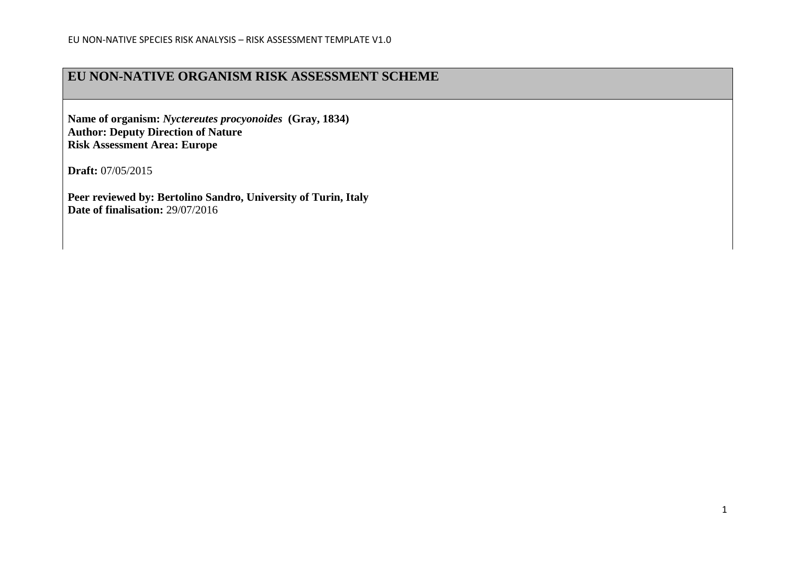### **EU NON-NATIVE ORGANISM RISK ASSESSMENT SCHEME**

**Name of organism:** *Nyctereutes procyonoides* **(Gray, 1834) Author: Deputy Direction of Nature Risk Assessment Area: Europe**

**Draft:** 07/05/2015

**Peer reviewed by: Bertolino Sandro, University of Turin, Italy Date of finalisation:** 29/07/2016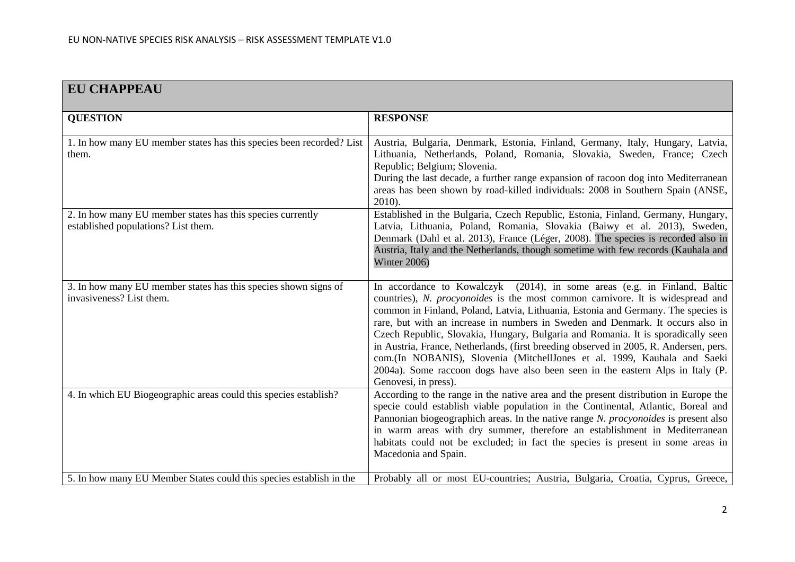| <b>EU CHAPPEAU</b>                                                                                |                                                                                                                                                                                                                                                                                                                                                                                                                                                                                                                                                                                                                                                                                                       |
|---------------------------------------------------------------------------------------------------|-------------------------------------------------------------------------------------------------------------------------------------------------------------------------------------------------------------------------------------------------------------------------------------------------------------------------------------------------------------------------------------------------------------------------------------------------------------------------------------------------------------------------------------------------------------------------------------------------------------------------------------------------------------------------------------------------------|
| <b>QUESTION</b>                                                                                   | <b>RESPONSE</b>                                                                                                                                                                                                                                                                                                                                                                                                                                                                                                                                                                                                                                                                                       |
| 1. In how many EU member states has this species been recorded? List<br>them.                     | Austria, Bulgaria, Denmark, Estonia, Finland, Germany, Italy, Hungary, Latvia,<br>Lithuania, Netherlands, Poland, Romania, Slovakia, Sweden, France; Czech<br>Republic; Belgium; Slovenia.<br>During the last decade, a further range expansion of racoon dog into Mediterranean<br>areas has been shown by road-killed individuals: 2008 in Southern Spain (ANSE,<br>$2010$ ).                                                                                                                                                                                                                                                                                                                       |
| 2. In how many EU member states has this species currently<br>established populations? List them. | Established in the Bulgaria, Czech Republic, Estonia, Finland, Germany, Hungary,<br>Latvia, Lithuania, Poland, Romania, Slovakia (Baiwy et al. 2013), Sweden,<br>Denmark (Dahl et al. 2013), France (Léger, 2008). The species is recorded also in<br>Austria, Italy and the Netherlands, though sometime with few records (Kauhala and<br>Winter 2006)                                                                                                                                                                                                                                                                                                                                               |
| 3. In how many EU member states has this species shown signs of<br>invasiveness? List them.       | In accordance to Kowalczyk (2014), in some areas (e.g. in Finland, Baltic<br>countries), N. procyonoides is the most common carnivore. It is widespread and<br>common in Finland, Poland, Latvia, Lithuania, Estonia and Germany. The species is<br>rare, but with an increase in numbers in Sweden and Denmark. It occurs also in<br>Czech Republic, Slovakia, Hungary, Bulgaria and Romania. It is sporadically seen<br>in Austria, France, Netherlands, (first breeding observed in 2005, R. Andersen, pers.<br>com.(In NOBANIS), Slovenia (MitchellJones et al. 1999, Kauhala and Saeki<br>2004a). Some raccoon dogs have also been seen in the eastern Alps in Italy (P.<br>Genovesi, in press). |
| 4. In which EU Biogeographic areas could this species establish?                                  | According to the range in the native area and the present distribution in Europe the<br>specie could establish viable population in the Continental, Atlantic, Boreal and<br>Pannonian biogeographich areas. In the native range N. procyonoides is present also<br>in warm areas with dry summer, therefore an establishment in Mediterranean<br>habitats could not be excluded; in fact the species is present in some areas in<br>Macedonia and Spain.                                                                                                                                                                                                                                             |
| 5. In how many EU Member States could this species establish in the                               | Probably all or most EU-countries; Austria, Bulgaria, Croatia, Cyprus, Greece,                                                                                                                                                                                                                                                                                                                                                                                                                                                                                                                                                                                                                        |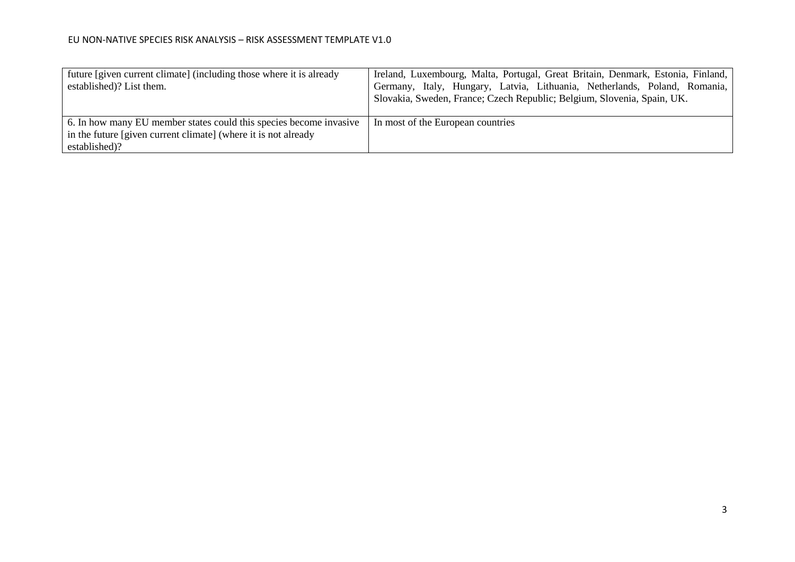| future [given current climate] (including those where it is already | Ireland, Luxembourg, Malta, Portugal, Great Britain, Denmark, Estonia, Finland, |
|---------------------------------------------------------------------|---------------------------------------------------------------------------------|
| established)? List them.                                            | Germany, Italy, Hungary, Latvia, Lithuania, Netherlands, Poland, Romania,       |
|                                                                     | Slovakia, Sweden, France; Czech Republic; Belgium, Slovenia, Spain, UK.         |
|                                                                     |                                                                                 |
| 6. In how many EU member states could this species become invasive  | In most of the European countries                                               |
| in the future [given current climate] (where it is not already      |                                                                                 |
| established)?                                                       |                                                                                 |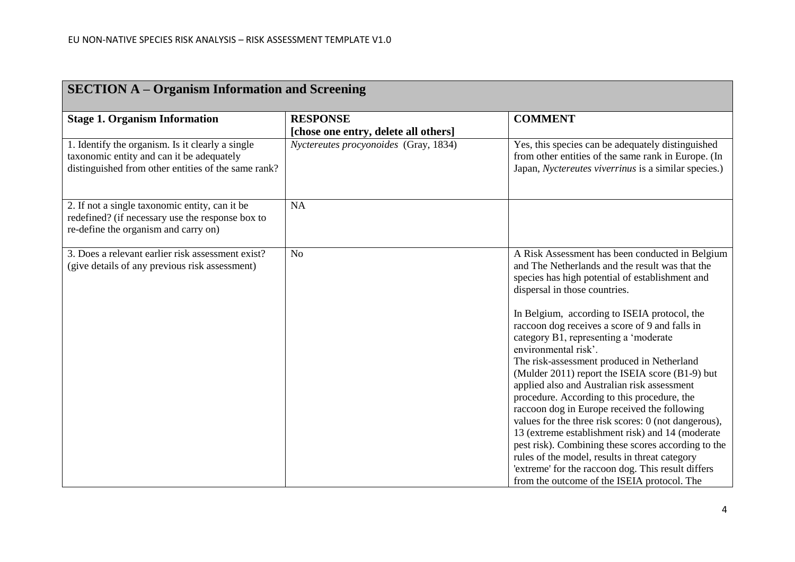| <b>SECTION A – Organism Information and Screening</b>                                                                                                |                                                         |                                                                                                                                                                                                                                                                                                                                                                                                                                                                                                                                                                                                                                                                                                                                                                                                                                                                                                                                    |
|------------------------------------------------------------------------------------------------------------------------------------------------------|---------------------------------------------------------|------------------------------------------------------------------------------------------------------------------------------------------------------------------------------------------------------------------------------------------------------------------------------------------------------------------------------------------------------------------------------------------------------------------------------------------------------------------------------------------------------------------------------------------------------------------------------------------------------------------------------------------------------------------------------------------------------------------------------------------------------------------------------------------------------------------------------------------------------------------------------------------------------------------------------------|
| <b>Stage 1. Organism Information</b>                                                                                                                 | <b>RESPONSE</b><br>[chose one entry, delete all others] | <b>COMMENT</b>                                                                                                                                                                                                                                                                                                                                                                                                                                                                                                                                                                                                                                                                                                                                                                                                                                                                                                                     |
| 1. Identify the organism. Is it clearly a single<br>taxonomic entity and can it be adequately<br>distinguished from other entities of the same rank? | Nyctereutes procyonoides (Gray, 1834)                   | Yes, this species can be adequately distinguished<br>from other entities of the same rank in Europe. (In<br>Japan, Nyctereutes viverrinus is a similar species.)                                                                                                                                                                                                                                                                                                                                                                                                                                                                                                                                                                                                                                                                                                                                                                   |
| 2. If not a single taxonomic entity, can it be<br>redefined? (if necessary use the response box to<br>re-define the organism and carry on)           | <b>NA</b>                                               |                                                                                                                                                                                                                                                                                                                                                                                                                                                                                                                                                                                                                                                                                                                                                                                                                                                                                                                                    |
| 3. Does a relevant earlier risk assessment exist?<br>(give details of any previous risk assessment)                                                  | N <sub>o</sub>                                          | A Risk Assessment has been conducted in Belgium<br>and The Netherlands and the result was that the<br>species has high potential of establishment and<br>dispersal in those countries.<br>In Belgium, according to ISEIA protocol, the<br>raccoon dog receives a score of 9 and falls in<br>category B1, representing a 'moderate<br>environmental risk'.<br>The risk-assessment produced in Netherland<br>(Mulder 2011) report the ISEIA score (B1-9) but<br>applied also and Australian risk assessment<br>procedure. According to this procedure, the<br>raccoon dog in Europe received the following<br>values for the three risk scores: 0 (not dangerous),<br>13 (extreme establishment risk) and 14 (moderate<br>pest risk). Combining these scores according to the<br>rules of the model, results in threat category<br>'extreme' for the raccoon dog. This result differs<br>from the outcome of the ISEIA protocol. The |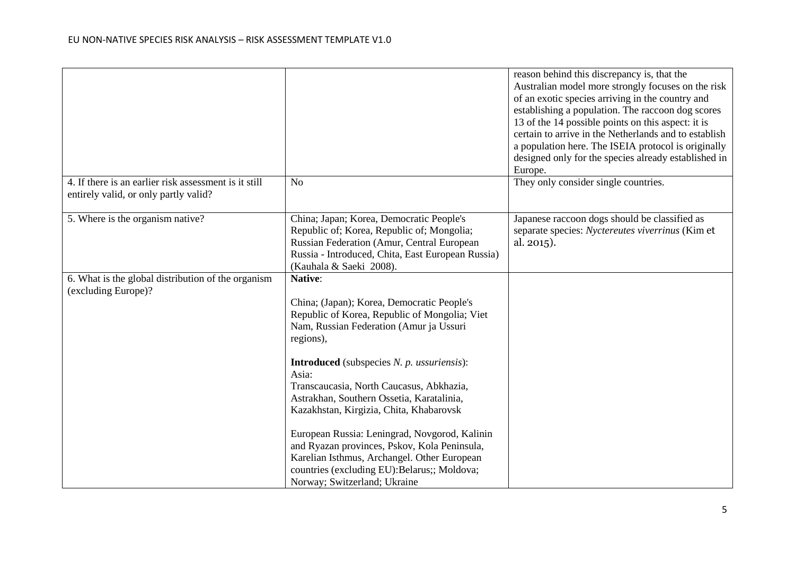|                                                       |                                                   | reason behind this discrepancy is, that the<br>Australian model more strongly focuses on the risk<br>of an exotic species arriving in the country and |
|-------------------------------------------------------|---------------------------------------------------|-------------------------------------------------------------------------------------------------------------------------------------------------------|
|                                                       |                                                   | establishing a population. The raccoon dog scores                                                                                                     |
|                                                       |                                                   | 13 of the 14 possible points on this aspect: it is                                                                                                    |
|                                                       |                                                   | certain to arrive in the Netherlands and to establish<br>a population here. The ISEIA protocol is originally                                          |
|                                                       |                                                   | designed only for the species already established in                                                                                                  |
|                                                       |                                                   | Europe.                                                                                                                                               |
| 4. If there is an earlier risk assessment is it still | No                                                | They only consider single countries.                                                                                                                  |
| entirely valid, or only partly valid?                 |                                                   |                                                                                                                                                       |
| 5. Where is the organism native?                      | China; Japan; Korea, Democratic People's          | Japanese raccoon dogs should be classified as                                                                                                         |
|                                                       | Republic of; Korea, Republic of; Mongolia;        | separate species: Nyctereutes viverrinus (Kim et                                                                                                      |
|                                                       | Russian Federation (Amur, Central European        | al. 2015).                                                                                                                                            |
|                                                       | Russia - Introduced, Chita, East European Russia) |                                                                                                                                                       |
|                                                       | (Kauhala & Saeki 2008).                           |                                                                                                                                                       |
| 6. What is the global distribution of the organism    | Native:                                           |                                                                                                                                                       |
| (excluding Europe)?                                   | China; (Japan); Korea, Democratic People's        |                                                                                                                                                       |
|                                                       | Republic of Korea, Republic of Mongolia; Viet     |                                                                                                                                                       |
|                                                       | Nam, Russian Federation (Amur ja Ussuri           |                                                                                                                                                       |
|                                                       | regions),                                         |                                                                                                                                                       |
|                                                       | <b>Introduced</b> (subspecies N. p. ussuriensis): |                                                                                                                                                       |
|                                                       | Asia:                                             |                                                                                                                                                       |
|                                                       | Transcaucasia, North Caucasus, Abkhazia,          |                                                                                                                                                       |
|                                                       | Astrakhan, Southern Ossetia, Karatalinia,         |                                                                                                                                                       |
|                                                       | Kazakhstan, Kirgizia, Chita, Khabarovsk           |                                                                                                                                                       |
|                                                       | European Russia: Leningrad, Novgorod, Kalinin     |                                                                                                                                                       |
|                                                       | and Ryazan provinces, Pskov, Kola Peninsula,      |                                                                                                                                                       |
|                                                       | Karelian Isthmus, Archangel. Other European       |                                                                                                                                                       |
|                                                       | countries (excluding EU): Belarus;; Moldova;      |                                                                                                                                                       |
|                                                       | Norway; Switzerland; Ukraine                      |                                                                                                                                                       |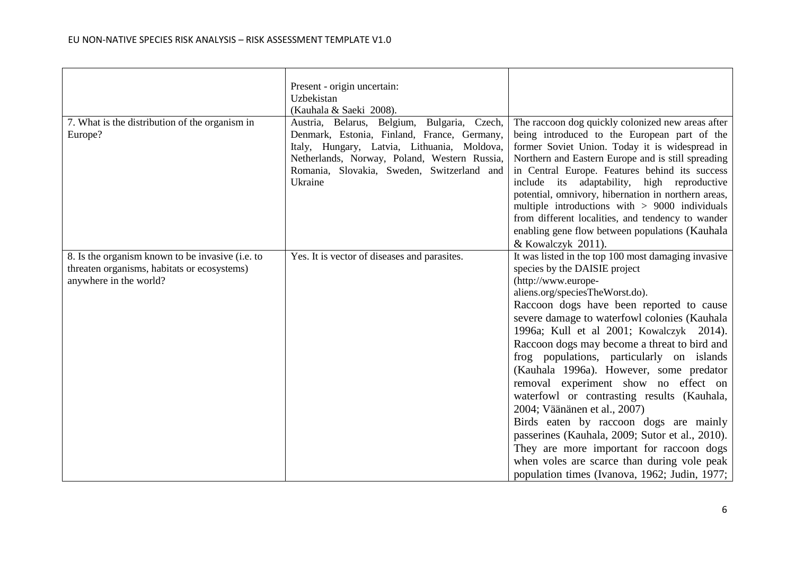|                                                                                                                           | Present - origin uncertain:<br>Uzbekistan<br>(Kauhala & Saeki 2008).                                                                                                                                                                               |                                                                                                                                                                                                                                                                                                                                                                                                                                                                                                                                                                                                                                                                                                                                                                                               |
|---------------------------------------------------------------------------------------------------------------------------|----------------------------------------------------------------------------------------------------------------------------------------------------------------------------------------------------------------------------------------------------|-----------------------------------------------------------------------------------------------------------------------------------------------------------------------------------------------------------------------------------------------------------------------------------------------------------------------------------------------------------------------------------------------------------------------------------------------------------------------------------------------------------------------------------------------------------------------------------------------------------------------------------------------------------------------------------------------------------------------------------------------------------------------------------------------|
| 7. What is the distribution of the organism in<br>Europe?                                                                 | Austria, Belarus, Belgium, Bulgaria, Czech,<br>Denmark, Estonia, Finland, France, Germany,<br>Italy, Hungary, Latvia, Lithuania, Moldova,<br>Netherlands, Norway, Poland, Western Russia,<br>Romania, Slovakia, Sweden, Switzerland and<br>Ukraine | The raccoon dog quickly colonized new areas after<br>being introduced to the European part of the<br>former Soviet Union. Today it is widespread in<br>Northern and Eastern Europe and is still spreading<br>in Central Europe. Features behind its success<br>include its adaptability, high reproductive<br>potential, omnivory, hibernation in northern areas,<br>multiple introductions with $> 9000$ individuals<br>from different localities, and tendency to wander<br>enabling gene flow between populations (Kauhala<br>& Kowalczyk 2011).                                                                                                                                                                                                                                           |
| 8. Is the organism known to be invasive (i.e. to<br>threaten organisms, habitats or ecosystems)<br>anywhere in the world? | Yes. It is vector of diseases and parasites.                                                                                                                                                                                                       | It was listed in the top 100 most damaging invasive<br>species by the DAISIE project<br>(http://www.europe-<br>aliens.org/speciesTheWorst.do).<br>Raccoon dogs have been reported to cause<br>severe damage to waterfowl colonies (Kauhala<br>1996a; Kull et al 2001; Kowalczyk 2014).<br>Raccoon dogs may become a threat to bird and<br>frog populations, particularly on islands<br>(Kauhala 1996a). However, some predator<br>removal experiment show no effect on<br>waterfowl or contrasting results (Kauhala,<br>2004; Väänänen et al., 2007)<br>Birds eaten by raccoon dogs are mainly<br>passerines (Kauhala, 2009; Sutor et al., 2010).<br>They are more important for raccoon dogs<br>when voles are scarce than during vole peak<br>population times (Ivanova, 1962; Judin, 1977; |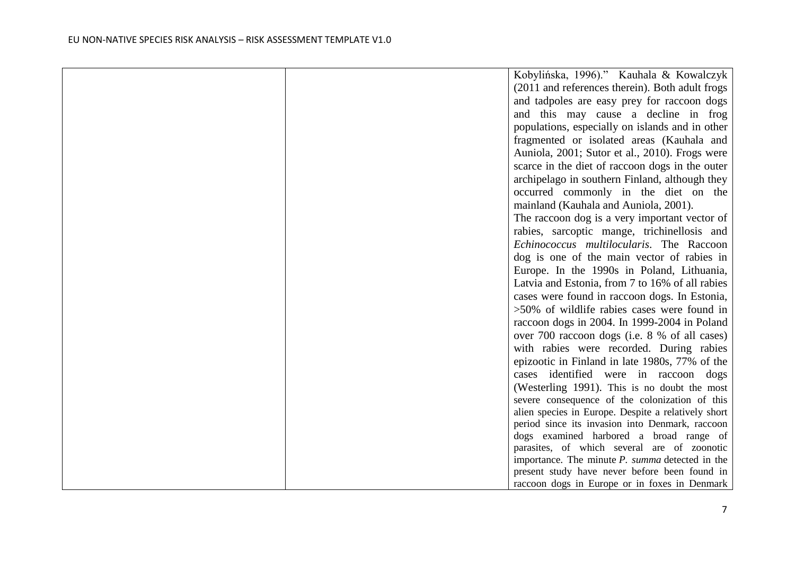| (2011 and references therein). Both adult frogs<br>and tadpoles are easy prey for raccoon dogs<br>and this may cause a decline in frog<br>populations, especially on islands and in other<br>fragmented or isolated areas (Kauhala and<br>Auniola, 2001; Sutor et al., 2010). Frogs were<br>scarce in the diet of raccoon dogs in the outer<br>archipelago in southern Finland, although they<br>occurred commonly in the diet on the<br>mainland (Kauhala and Auniola, 2001).<br>The raccoon dog is a very important vector of<br>rabies, sarcoptic mange, trichinellosis and |
|--------------------------------------------------------------------------------------------------------------------------------------------------------------------------------------------------------------------------------------------------------------------------------------------------------------------------------------------------------------------------------------------------------------------------------------------------------------------------------------------------------------------------------------------------------------------------------|
|                                                                                                                                                                                                                                                                                                                                                                                                                                                                                                                                                                                |
|                                                                                                                                                                                                                                                                                                                                                                                                                                                                                                                                                                                |
|                                                                                                                                                                                                                                                                                                                                                                                                                                                                                                                                                                                |
|                                                                                                                                                                                                                                                                                                                                                                                                                                                                                                                                                                                |
|                                                                                                                                                                                                                                                                                                                                                                                                                                                                                                                                                                                |
|                                                                                                                                                                                                                                                                                                                                                                                                                                                                                                                                                                                |
|                                                                                                                                                                                                                                                                                                                                                                                                                                                                                                                                                                                |
|                                                                                                                                                                                                                                                                                                                                                                                                                                                                                                                                                                                |
|                                                                                                                                                                                                                                                                                                                                                                                                                                                                                                                                                                                |
|                                                                                                                                                                                                                                                                                                                                                                                                                                                                                                                                                                                |
|                                                                                                                                                                                                                                                                                                                                                                                                                                                                                                                                                                                |
|                                                                                                                                                                                                                                                                                                                                                                                                                                                                                                                                                                                |
| Echinococcus multilocularis. The Raccoon                                                                                                                                                                                                                                                                                                                                                                                                                                                                                                                                       |
| dog is one of the main vector of rabies in                                                                                                                                                                                                                                                                                                                                                                                                                                                                                                                                     |
| Europe. In the 1990s in Poland, Lithuania,                                                                                                                                                                                                                                                                                                                                                                                                                                                                                                                                     |
| Latvia and Estonia, from 7 to 16% of all rabies                                                                                                                                                                                                                                                                                                                                                                                                                                                                                                                                |
| cases were found in raccoon dogs. In Estonia,                                                                                                                                                                                                                                                                                                                                                                                                                                                                                                                                  |
| $>50\%$ of wildlife rabies cases were found in                                                                                                                                                                                                                                                                                                                                                                                                                                                                                                                                 |
| raccoon dogs in 2004. In 1999-2004 in Poland                                                                                                                                                                                                                                                                                                                                                                                                                                                                                                                                   |
| over 700 raccoon dogs (i.e. 8 % of all cases)                                                                                                                                                                                                                                                                                                                                                                                                                                                                                                                                  |
| with rabies were recorded. During rabies                                                                                                                                                                                                                                                                                                                                                                                                                                                                                                                                       |
| epizootic in Finland in late 1980s, 77% of the                                                                                                                                                                                                                                                                                                                                                                                                                                                                                                                                 |
| cases identified were in raccoon dogs                                                                                                                                                                                                                                                                                                                                                                                                                                                                                                                                          |
| (Westerling 1991). This is no doubt the most                                                                                                                                                                                                                                                                                                                                                                                                                                                                                                                                   |
| severe consequence of the colonization of this                                                                                                                                                                                                                                                                                                                                                                                                                                                                                                                                 |
| alien species in Europe. Despite a relatively short                                                                                                                                                                                                                                                                                                                                                                                                                                                                                                                            |
| period since its invasion into Denmark, raccoon                                                                                                                                                                                                                                                                                                                                                                                                                                                                                                                                |
| dogs examined harbored a broad range of                                                                                                                                                                                                                                                                                                                                                                                                                                                                                                                                        |
| parasites, of which several are of zoonotic<br>importance. The minute $P$ . summa detected in the                                                                                                                                                                                                                                                                                                                                                                                                                                                                              |
| present study have never before been found in                                                                                                                                                                                                                                                                                                                                                                                                                                                                                                                                  |
| raccoon dogs in Europe or in foxes in Denmark                                                                                                                                                                                                                                                                                                                                                                                                                                                                                                                                  |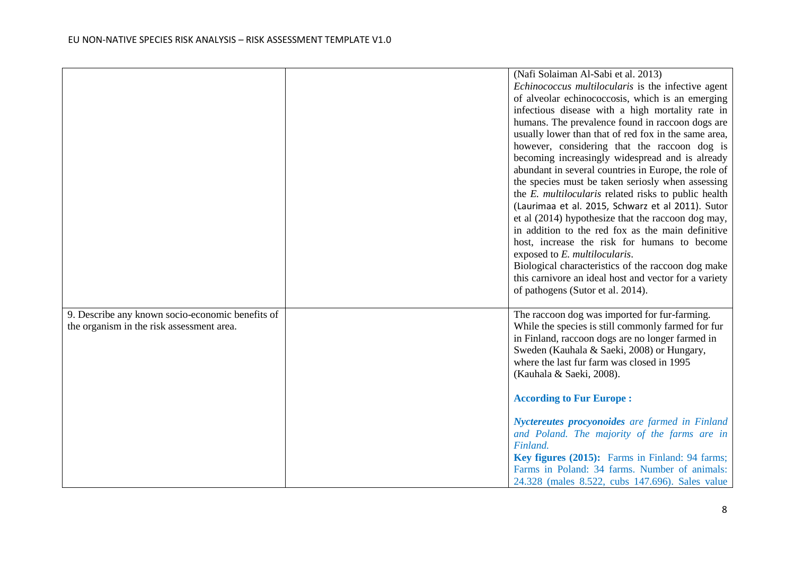|                                                  | (Nafi Solaiman Al-Sabi et al. 2013)                         |
|--------------------------------------------------|-------------------------------------------------------------|
|                                                  | Echinococcus multilocularis is the infective agent          |
|                                                  | of alveolar echinococcosis, which is an emerging            |
|                                                  | infectious disease with a high mortality rate in            |
|                                                  | humans. The prevalence found in raccoon dogs are            |
|                                                  | usually lower than that of red fox in the same area,        |
|                                                  | however, considering that the raccoon dog is                |
|                                                  | becoming increasingly widespread and is already             |
|                                                  | abundant in several countries in Europe, the role of        |
|                                                  | the species must be taken seriosly when assessing           |
|                                                  | the <i>E. multilocularis</i> related risks to public health |
|                                                  | (Laurimaa et al. 2015, Schwarz et al 2011). Sutor           |
|                                                  | et al (2014) hypothesize that the raccoon dog may,          |
|                                                  | in addition to the red fox as the main definitive           |
|                                                  | host, increase the risk for humans to become                |
|                                                  | exposed to E. multilocularis.                               |
|                                                  | Biological characteristics of the raccoon dog make          |
|                                                  | this carnivore an ideal host and vector for a variety       |
|                                                  | of pathogens (Sutor et al. 2014).                           |
|                                                  |                                                             |
| 9. Describe any known socio-economic benefits of | The raccoon dog was imported for fur-farming.               |
| the organism in the risk assessment area.        | While the species is still commonly farmed for fur          |
|                                                  | in Finland, raccoon dogs are no longer farmed in            |
|                                                  | Sweden (Kauhala & Saeki, 2008) or Hungary,                  |
|                                                  | where the last fur farm was closed in 1995                  |
|                                                  | (Kauhala & Saeki, 2008).                                    |
|                                                  |                                                             |
|                                                  | <b>According to Fur Europe:</b>                             |
|                                                  |                                                             |
|                                                  | Nyctereutes procyonoides are farmed in Finland              |
|                                                  | and Poland. The majority of the farms are in                |
|                                                  | Finland.                                                    |
|                                                  | Key figures (2015): Farms in Finland: 94 farms;             |
|                                                  | Farms in Poland: 34 farms. Number of animals:               |
|                                                  | 24.328 (males 8.522, cubs 147.696). Sales value             |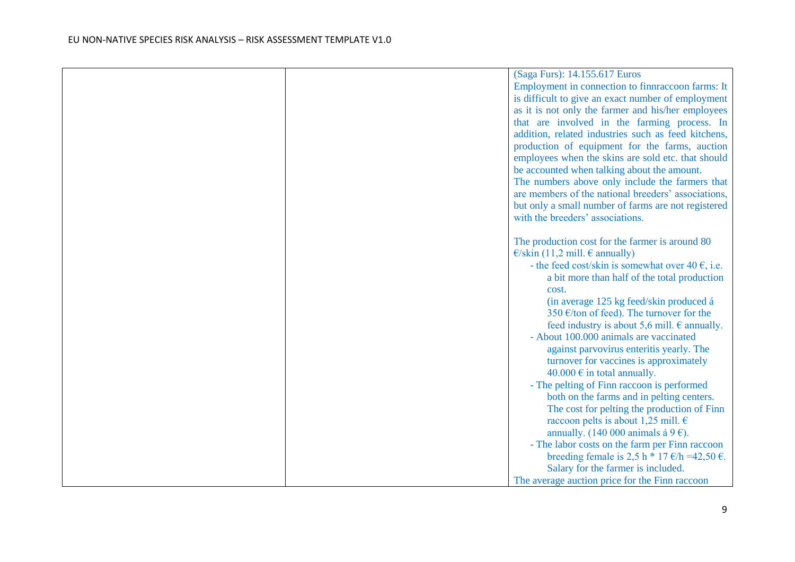|  | (Saga Furs): 14.155.617 Euros                                           |
|--|-------------------------------------------------------------------------|
|  | Employment in connection to finnraccoon farms: It                       |
|  | is difficult to give an exact number of employment                      |
|  | as it is not only the farmer and his/her employees                      |
|  | that are involved in the farming process. In                            |
|  | addition, related industries such as feed kitchens,                     |
|  | production of equipment for the farms, auction                          |
|  | employees when the skins are sold etc. that should                      |
|  | be accounted when talking about the amount.                             |
|  | The numbers above only include the farmers that                         |
|  | are members of the national breeders' associations,                     |
|  | but only a small number of farms are not registered                     |
|  | with the breeders' associations.                                        |
|  |                                                                         |
|  | The production cost for the farmer is around 80                         |
|  | $\epsilon$ /skin (11,2 mill. $\epsilon$ annually)                       |
|  | - the feed cost/skin is somewhat over 40 $\epsilon$ , i.e.              |
|  | a bit more than half of the total production                            |
|  | cost.                                                                   |
|  | (in average 125 kg feed/skin produced á                                 |
|  | 350 €/ton of feed). The turnover for the                                |
|  | feed industry is about 5,6 mill. $\epsilon$ annually.                   |
|  | - About 100.000 animals are vaccinated                                  |
|  | against parvovirus enteritis yearly. The                                |
|  | turnover for vaccines is approximately                                  |
|  | 40.000 $\epsilon$ in total annually.                                    |
|  | - The pelting of Finn raccoon is performed                              |
|  | both on the farms and in pelting centers.                               |
|  | The cost for pelting the production of Finn                             |
|  | raccoon pelts is about 1,25 mill. $\epsilon$                            |
|  | annually. (140 000 animals á 9 $\epsilon$ ).                            |
|  | - The labor costs on the farm per Finn raccoon                          |
|  | breeding female is 2,5 h $*$ 17 $\varepsilon$ /h =42,50 $\varepsilon$ . |
|  | Salary for the farmer is included.                                      |
|  | The average auction price for the Finn raccoon                          |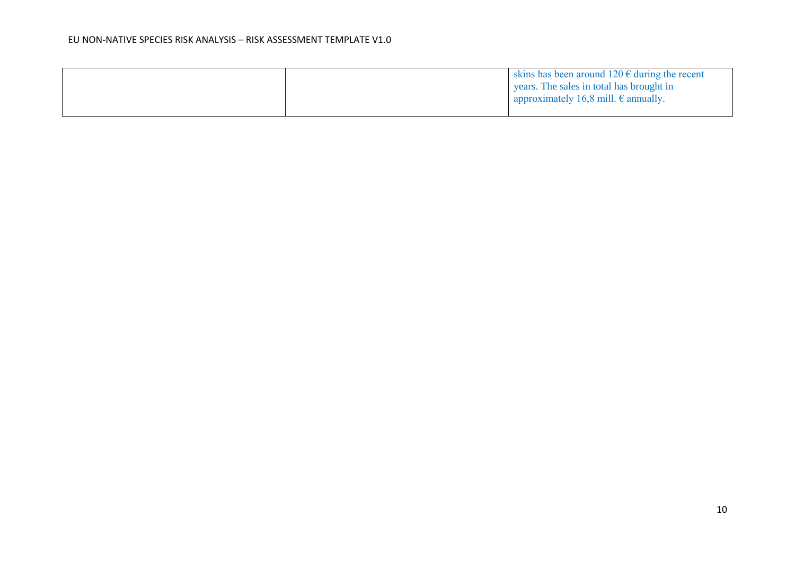|  | skins has been around $120 \text{ } \in$ during the recent |
|--|------------------------------------------------------------|
|  | s years. The sales in total has brought in                 |
|  | approximately 16,8 mill. $\epsilon$ annually.              |
|  |                                                            |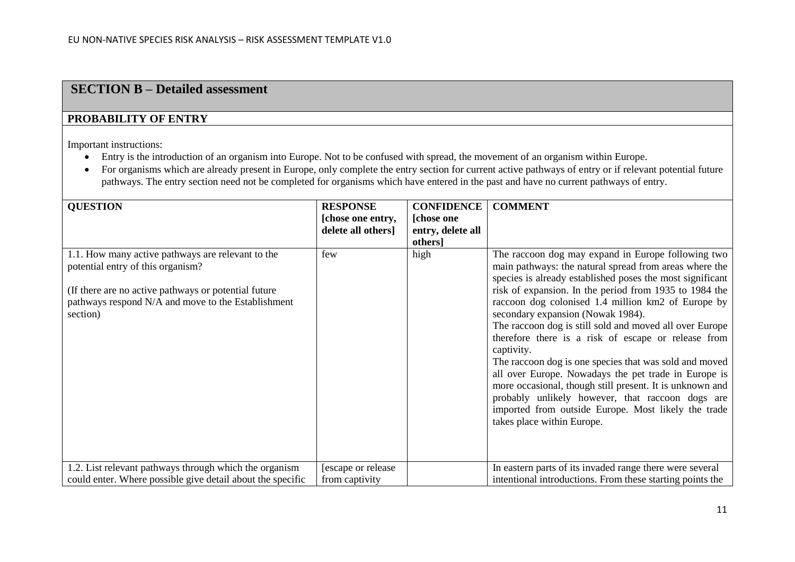### **SECTION B – Detailed assessment**

#### **PROBABILITY OF ENTRY**

Important instructions:

- Entry is the introduction of an organism into Europe. Not to be confused with spread, the movement of an organism within Europe.
- For organisms which are already present in Europe, only complete the entry section for current active pathways of entry or if relevant potential future pathways. The entry section need not be completed for organisms which have entered in the past and have no current pathways of entry.

| <b>QUESTION</b>                                                                                                                                                                                                  | <b>RESPONSE</b><br>[chose one entry,<br>delete all others] | <b>CONFIDENCE</b><br>[chose one]<br>entry, delete all<br>others] | <b>COMMENT</b>                                                                                                                                                                                                                                                                                                                                                                                                                                                                                                                                                                                                                                                                                                                                                                        |
|------------------------------------------------------------------------------------------------------------------------------------------------------------------------------------------------------------------|------------------------------------------------------------|------------------------------------------------------------------|---------------------------------------------------------------------------------------------------------------------------------------------------------------------------------------------------------------------------------------------------------------------------------------------------------------------------------------------------------------------------------------------------------------------------------------------------------------------------------------------------------------------------------------------------------------------------------------------------------------------------------------------------------------------------------------------------------------------------------------------------------------------------------------|
| 1.1. How many active pathways are relevant to the<br>potential entry of this organism?<br>(If there are no active pathways or potential future<br>pathways respond N/A and move to the Establishment<br>section) | few                                                        | high                                                             | The raccoon dog may expand in Europe following two<br>main pathways: the natural spread from areas where the<br>species is already established poses the most significant<br>risk of expansion. In the period from 1935 to 1984 the<br>raccoon dog colonised 1.4 million km2 of Europe by<br>secondary expansion (Nowak 1984).<br>The raccoon dog is still sold and moved all over Europe<br>therefore there is a risk of escape or release from<br>captivity.<br>The raccoon dog is one species that was sold and moved<br>all over Europe. Nowadays the pet trade in Europe is<br>more occasional, though still present. It is unknown and<br>probably unlikely however, that raccoon dogs are<br>imported from outside Europe. Most likely the trade<br>takes place within Europe. |
| 1.2. List relevant pathways through which the organism<br>could enter. Where possible give detail about the specific                                                                                             | [escape or release]<br>from captivity                      |                                                                  | In eastern parts of its invaded range there were several<br>intentional introductions. From these starting points the                                                                                                                                                                                                                                                                                                                                                                                                                                                                                                                                                                                                                                                                 |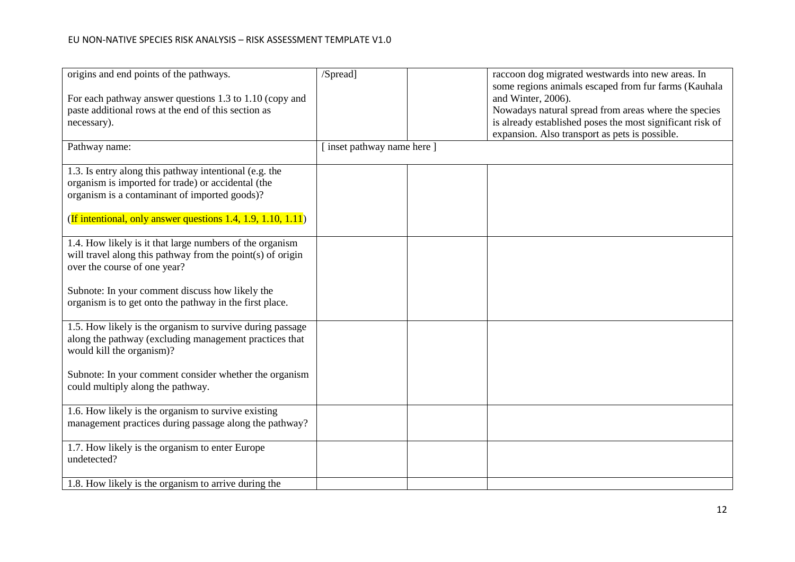| origins and end points of the pathways.                      | /Spread]                | raccoon dog migrated westwards into new areas. In         |
|--------------------------------------------------------------|-------------------------|-----------------------------------------------------------|
|                                                              |                         | some regions animals escaped from fur farms (Kauhala      |
| For each pathway answer questions 1.3 to 1.10 (copy and      |                         | and Winter, 2006).                                        |
| paste additional rows at the end of this section as          |                         | Nowadays natural spread from areas where the species      |
|                                                              |                         |                                                           |
| necessary).                                                  |                         | is already established poses the most significant risk of |
|                                                              |                         | expansion. Also transport as pets is possible.            |
| Pathway name:                                                | inset pathway name here |                                                           |
|                                                              |                         |                                                           |
| 1.3. Is entry along this pathway intentional (e.g. the       |                         |                                                           |
| organism is imported for trade) or accidental (the           |                         |                                                           |
|                                                              |                         |                                                           |
| organism is a contaminant of imported goods)?                |                         |                                                           |
|                                                              |                         |                                                           |
| (If intentional, only answer questions 1.4, 1.9, 1.10, 1.11) |                         |                                                           |
|                                                              |                         |                                                           |
| 1.4. How likely is it that large numbers of the organism     |                         |                                                           |
| will travel along this pathway from the point(s) of origin   |                         |                                                           |
| over the course of one year?                                 |                         |                                                           |
|                                                              |                         |                                                           |
|                                                              |                         |                                                           |
| Subnote: In your comment discuss how likely the              |                         |                                                           |
| organism is to get onto the pathway in the first place.      |                         |                                                           |
|                                                              |                         |                                                           |
| 1.5. How likely is the organism to survive during passage    |                         |                                                           |
| along the pathway (excluding management practices that       |                         |                                                           |
| would kill the organism)?                                    |                         |                                                           |
|                                                              |                         |                                                           |
| Subnote: In your comment consider whether the organism       |                         |                                                           |
|                                                              |                         |                                                           |
| could multiply along the pathway.                            |                         |                                                           |
|                                                              |                         |                                                           |
| 1.6. How likely is the organism to survive existing          |                         |                                                           |
| management practices during passage along the pathway?       |                         |                                                           |
|                                                              |                         |                                                           |
| 1.7. How likely is the organism to enter Europe              |                         |                                                           |
| undetected?                                                  |                         |                                                           |
|                                                              |                         |                                                           |
|                                                              |                         |                                                           |
| 1.8. How likely is the organism to arrive during the         |                         |                                                           |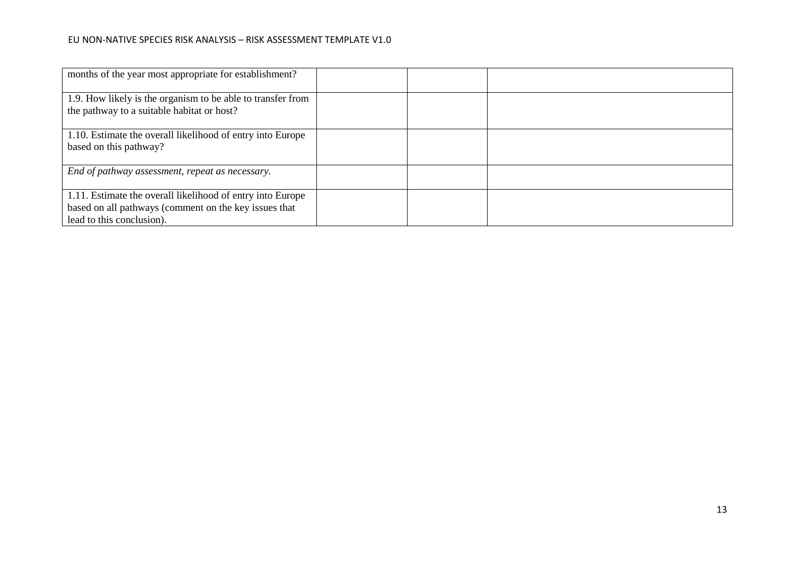| months of the year most appropriate for establishment?                                                                                           |  |  |
|--------------------------------------------------------------------------------------------------------------------------------------------------|--|--|
| 1.9. How likely is the organism to be able to transfer from<br>the pathway to a suitable habitat or host?                                        |  |  |
| 1.10. Estimate the overall likelihood of entry into Europe<br>based on this pathway?                                                             |  |  |
| End of pathway assessment, repeat as necessary.                                                                                                  |  |  |
| 1.11. Estimate the overall likelihood of entry into Europe<br>based on all pathways (comment on the key issues that<br>lead to this conclusion). |  |  |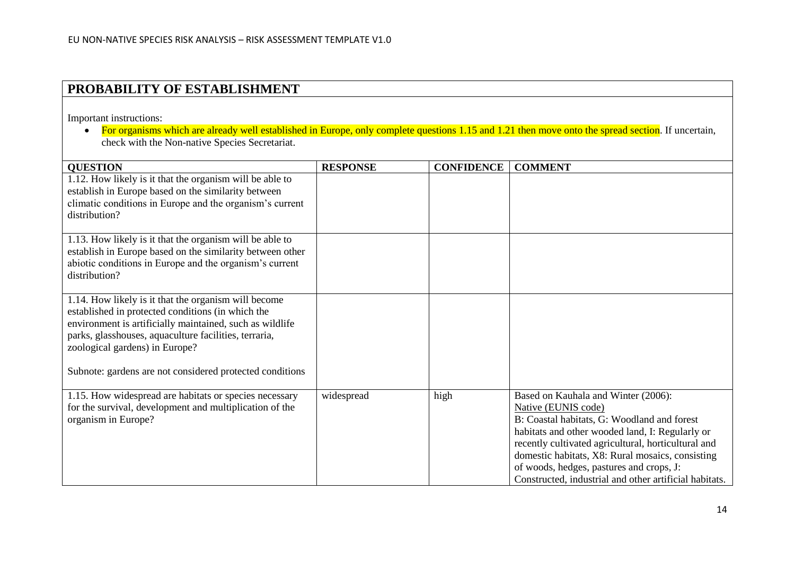### **PROBABILITY OF ESTABLISHMENT**

Important instructions:

 $\bullet$  For organisms which are already well established in Europe, only complete questions 1.15 and 1.21 then move onto the spread section. If uncertain, check with the Non-native Species Secretariat.

| <b>QUESTION</b>                                                                                                                                                                                                                                                                                                              | <b>RESPONSE</b> | <b>CONFIDENCE</b> | <b>COMMENT</b>                                                                                                                                                                                                                                                                                                                                                                |
|------------------------------------------------------------------------------------------------------------------------------------------------------------------------------------------------------------------------------------------------------------------------------------------------------------------------------|-----------------|-------------------|-------------------------------------------------------------------------------------------------------------------------------------------------------------------------------------------------------------------------------------------------------------------------------------------------------------------------------------------------------------------------------|
| 1.12. How likely is it that the organism will be able to<br>establish in Europe based on the similarity between<br>climatic conditions in Europe and the organism's current<br>distribution?                                                                                                                                 |                 |                   |                                                                                                                                                                                                                                                                                                                                                                               |
| 1.13. How likely is it that the organism will be able to<br>establish in Europe based on the similarity between other<br>abiotic conditions in Europe and the organism's current<br>distribution?                                                                                                                            |                 |                   |                                                                                                                                                                                                                                                                                                                                                                               |
| 1.14. How likely is it that the organism will become<br>established in protected conditions (in which the<br>environment is artificially maintained, such as wildlife<br>parks, glasshouses, aquaculture facilities, terraria,<br>zoological gardens) in Europe?<br>Subnote: gardens are not considered protected conditions |                 |                   |                                                                                                                                                                                                                                                                                                                                                                               |
| 1.15. How widespread are habitats or species necessary<br>for the survival, development and multiplication of the<br>organism in Europe?                                                                                                                                                                                     | widespread      | high              | Based on Kauhala and Winter (2006):<br>Native (EUNIS code)<br>B: Coastal habitats, G: Woodland and forest<br>habitats and other wooded land, I: Regularly or<br>recently cultivated agricultural, horticultural and<br>domestic habitats, X8: Rural mosaics, consisting<br>of woods, hedges, pastures and crops, J:<br>Constructed, industrial and other artificial habitats. |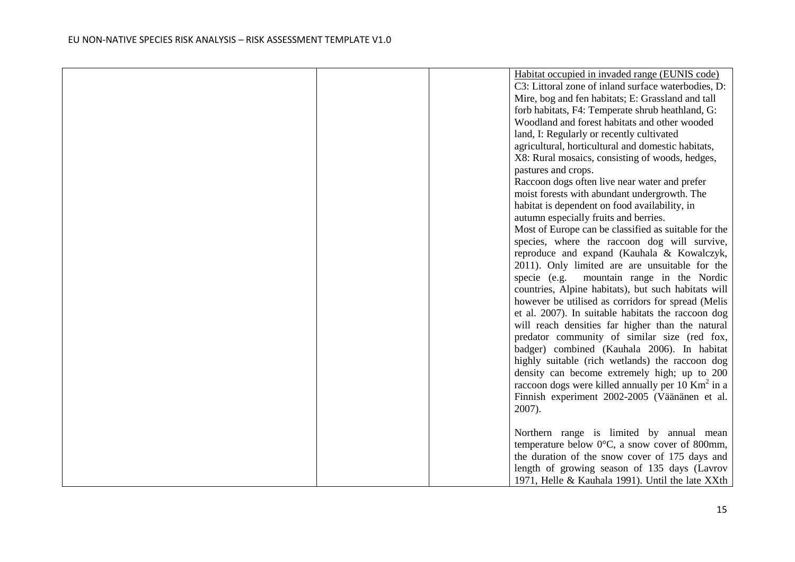|  | Habitat occupied in invaded range (EUNIS code)              |
|--|-------------------------------------------------------------|
|  | C3: Littoral zone of inland surface waterbodies, D:         |
|  | Mire, bog and fen habitats; E: Grassland and tall           |
|  | forb habitats, F4: Temperate shrub heathland, G:            |
|  | Woodland and forest habitats and other wooded               |
|  | land, I: Regularly or recently cultivated                   |
|  | agricultural, horticultural and domestic habitats,          |
|  | X8: Rural mosaics, consisting of woods, hedges,             |
|  | pastures and crops.                                         |
|  | Raccoon dogs often live near water and prefer               |
|  | moist forests with abundant undergrowth. The                |
|  | habitat is dependent on food availability, in               |
|  | autumn especially fruits and berries.                       |
|  | Most of Europe can be classified as suitable for the        |
|  | species, where the raccoon dog will survive,                |
|  | reproduce and expand (Kauhala & Kowalczyk,                  |
|  | 2011). Only limited are are unsuitable for the              |
|  | specie (e.g.<br>mountain range in the Nordic                |
|  | countries, Alpine habitats), but such habitats will         |
|  | however be utilised as corridors for spread (Melis          |
|  | et al. 2007). In suitable habitats the raccoon dog          |
|  | will reach densities far higher than the natural            |
|  | predator community of similar size (red fox,                |
|  | badger) combined (Kauhala 2006). In habitat                 |
|  | highly suitable (rich wetlands) the raccoon dog             |
|  | density can become extremely high; up to 200                |
|  | raccoon dogs were killed annually per 10 $\text{Km}^2$ in a |
|  | Finnish experiment 2002-2005 (Väänänen et al.               |
|  | 2007).                                                      |
|  |                                                             |
|  | Northern range is limited by annual mean                    |
|  | temperature below $0^{\circ}$ C, a snow cover of 800mm,     |
|  | the duration of the snow cover of 175 days and              |
|  | length of growing season of 135 days (Lavrov                |
|  | 1971, Helle & Kauhala 1991). Until the late XXth            |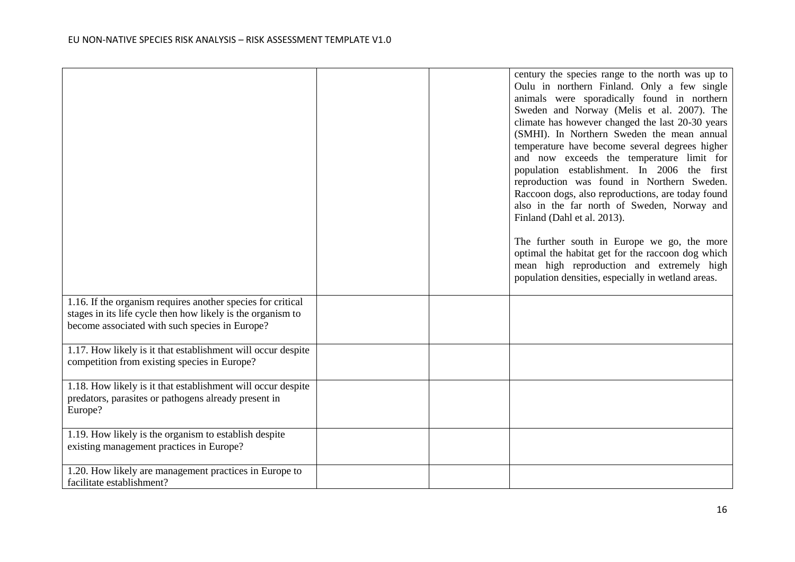|                                                                                                                                                                              |  | century the species range to the north was up to<br>Oulu in northern Finland. Only a few single<br>animals were sporadically found in northern<br>Sweden and Norway (Melis et al. 2007). The<br>climate has however changed the last 20-30 years<br>(SMHI). In Northern Sweden the mean annual<br>temperature have become several degrees higher<br>and now exceeds the temperature limit for<br>population establishment. In 2006 the first<br>reproduction was found in Northern Sweden.<br>Raccoon dogs, also reproductions, are today found |
|------------------------------------------------------------------------------------------------------------------------------------------------------------------------------|--|-------------------------------------------------------------------------------------------------------------------------------------------------------------------------------------------------------------------------------------------------------------------------------------------------------------------------------------------------------------------------------------------------------------------------------------------------------------------------------------------------------------------------------------------------|
|                                                                                                                                                                              |  | also in the far north of Sweden, Norway and<br>Finland (Dahl et al. 2013).                                                                                                                                                                                                                                                                                                                                                                                                                                                                      |
|                                                                                                                                                                              |  | The further south in Europe we go, the more<br>optimal the habitat get for the raccoon dog which<br>mean high reproduction and extremely high<br>population densities, especially in wetland areas.                                                                                                                                                                                                                                                                                                                                             |
| 1.16. If the organism requires another species for critical<br>stages in its life cycle then how likely is the organism to<br>become associated with such species in Europe? |  |                                                                                                                                                                                                                                                                                                                                                                                                                                                                                                                                                 |
| 1.17. How likely is it that establishment will occur despite<br>competition from existing species in Europe?                                                                 |  |                                                                                                                                                                                                                                                                                                                                                                                                                                                                                                                                                 |
| 1.18. How likely is it that establishment will occur despite<br>predators, parasites or pathogens already present in<br>Europe?                                              |  |                                                                                                                                                                                                                                                                                                                                                                                                                                                                                                                                                 |
| 1.19. How likely is the organism to establish despite<br>existing management practices in Europe?                                                                            |  |                                                                                                                                                                                                                                                                                                                                                                                                                                                                                                                                                 |
| 1.20. How likely are management practices in Europe to<br>facilitate establishment?                                                                                          |  |                                                                                                                                                                                                                                                                                                                                                                                                                                                                                                                                                 |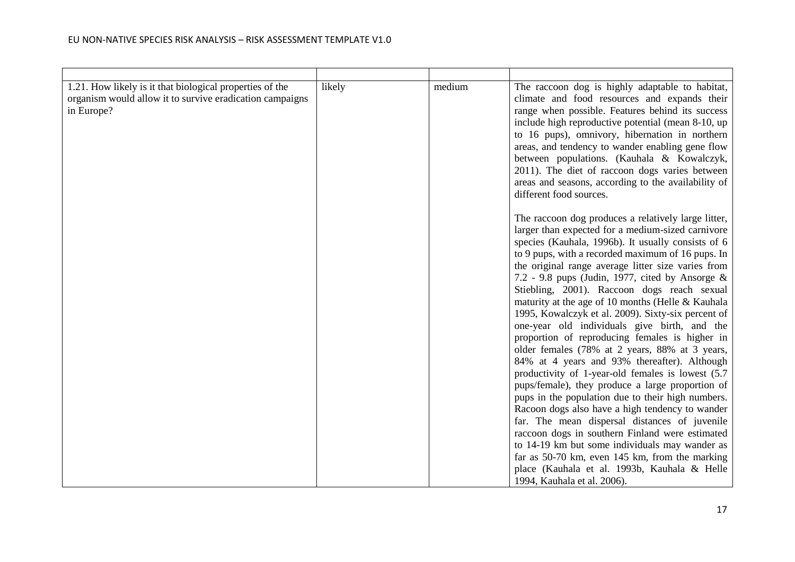| 1.21. How likely is it that biological properties of the<br>organism would allow it to survive eradication campaigns<br>in Europe? | likely | medium | The raccoon dog is highly adaptable to habitat,<br>climate and food resources and expands their<br>range when possible. Features behind its success<br>include high reproductive potential (mean 8-10, up<br>to 16 pups), omnivory, hibernation in northern<br>areas, and tendency to wander enabling gene flow<br>between populations. (Kauhala & Kowalczyk,<br>2011). The diet of raccoon dogs varies between<br>areas and seasons, according to the availability of<br>different food sources.                                                                                                                                                                                                                                                                                                                                                                                                                                                                                                                                                                                                                                                                                                      |
|------------------------------------------------------------------------------------------------------------------------------------|--------|--------|--------------------------------------------------------------------------------------------------------------------------------------------------------------------------------------------------------------------------------------------------------------------------------------------------------------------------------------------------------------------------------------------------------------------------------------------------------------------------------------------------------------------------------------------------------------------------------------------------------------------------------------------------------------------------------------------------------------------------------------------------------------------------------------------------------------------------------------------------------------------------------------------------------------------------------------------------------------------------------------------------------------------------------------------------------------------------------------------------------------------------------------------------------------------------------------------------------|
|                                                                                                                                    |        |        | The raccoon dog produces a relatively large litter,<br>larger than expected for a medium-sized carnivore<br>species (Kauhala, 1996b). It usually consists of 6<br>to 9 pups, with a recorded maximum of 16 pups. In<br>the original range average litter size varies from<br>7.2 - 9.8 pups (Judin, 1977, cited by Ansorge $\&$<br>Stiebling, 2001). Raccoon dogs reach sexual<br>maturity at the age of 10 months (Helle & Kauhala<br>1995, Kowalczyk et al. 2009). Sixty-six percent of<br>one-year old individuals give birth, and the<br>proportion of reproducing females is higher in<br>older females (78% at 2 years, 88% at 3 years,<br>84% at 4 years and 93% thereafter). Although<br>productivity of 1-year-old females is lowest (5.7)<br>pups/female), they produce a large proportion of<br>pups in the population due to their high numbers.<br>Racoon dogs also have a high tendency to wander<br>far. The mean dispersal distances of juvenile<br>raccoon dogs in southern Finland were estimated<br>to 14-19 km but some individuals may wander as<br>far as 50-70 km, even 145 km, from the marking<br>place (Kauhala et al. 1993b, Kauhala & Helle<br>1994, Kauhala et al. 2006). |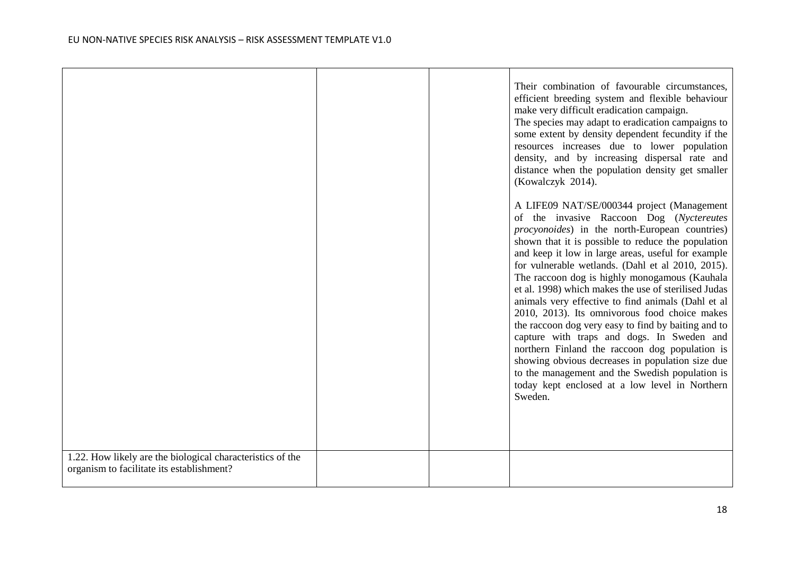|                                                                                                         |  | Their combination of favourable circumstances,<br>efficient breeding system and flexible behaviour<br>make very difficult eradication campaign.<br>The species may adapt to eradication campaigns to<br>some extent by density dependent fecundity if the<br>resources increases due to lower population<br>density, and by increasing dispersal rate and<br>distance when the population density get smaller<br>(Kowalczyk 2014).                                                                                                                                                                                                                                                                                                                                                                                                                           |
|---------------------------------------------------------------------------------------------------------|--|--------------------------------------------------------------------------------------------------------------------------------------------------------------------------------------------------------------------------------------------------------------------------------------------------------------------------------------------------------------------------------------------------------------------------------------------------------------------------------------------------------------------------------------------------------------------------------------------------------------------------------------------------------------------------------------------------------------------------------------------------------------------------------------------------------------------------------------------------------------|
|                                                                                                         |  | A LIFE09 NAT/SE/000344 project (Management<br>of the invasive Raccoon Dog (Nyctereutes<br><i>procyonoides</i> ) in the north-European countries)<br>shown that it is possible to reduce the population<br>and keep it low in large areas, useful for example<br>for vulnerable wetlands. (Dahl et al 2010, 2015).<br>The raccoon dog is highly monogamous (Kauhala<br>et al. 1998) which makes the use of sterilised Judas<br>animals very effective to find animals (Dahl et al<br>2010, 2013). Its omnivorous food choice makes<br>the raccoon dog very easy to find by baiting and to<br>capture with traps and dogs. In Sweden and<br>northern Finland the raccoon dog population is<br>showing obvious decreases in population size due<br>to the management and the Swedish population is<br>today kept enclosed at a low level in Northern<br>Sweden. |
| 1.22. How likely are the biological characteristics of the<br>organism to facilitate its establishment? |  |                                                                                                                                                                                                                                                                                                                                                                                                                                                                                                                                                                                                                                                                                                                                                                                                                                                              |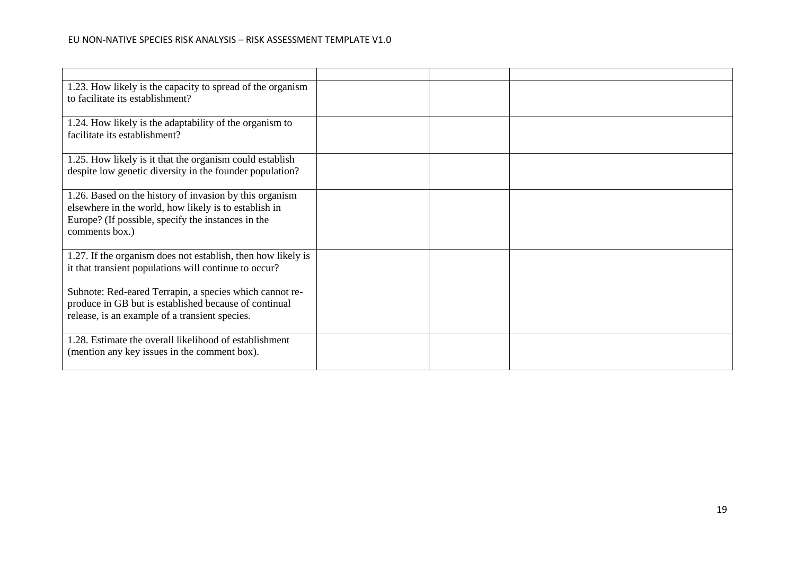| 1.23. How likely is the capacity to spread of the organism<br>to facilitate its establishment?                                                                                           |  |  |
|------------------------------------------------------------------------------------------------------------------------------------------------------------------------------------------|--|--|
| 1.24. How likely is the adaptability of the organism to<br>facilitate its establishment?                                                                                                 |  |  |
| 1.25. How likely is it that the organism could establish<br>despite low genetic diversity in the founder population?                                                                     |  |  |
| 1.26. Based on the history of invasion by this organism<br>elsewhere in the world, how likely is to establish in<br>Europe? (If possible, specify the instances in the<br>comments box.) |  |  |
| 1.27. If the organism does not establish, then how likely is<br>it that transient populations will continue to occur?                                                                    |  |  |
| Subnote: Red-eared Terrapin, a species which cannot re-<br>produce in GB but is established because of continual<br>release, is an example of a transient species.                       |  |  |
| 1.28. Estimate the overall likelihood of establishment<br>(mention any key issues in the comment box).                                                                                   |  |  |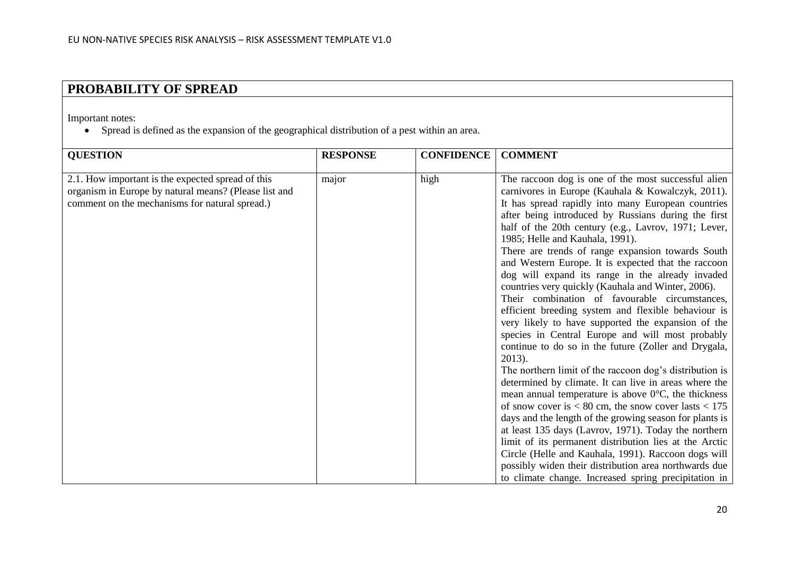# **PROBABILITY OF SPREAD**

Important notes:

Spread is defined as the expansion of the geographical distribution of a pest within an area.

| <b>QUESTION</b>                                                                                                                                              | <b>RESPONSE</b> | <b>CONFIDENCE</b> | <b>COMMENT</b>                                                                                                                                                                                                                                                                                                                                                                                                                                                                                                                                                                                                                                                                                                                                                                                                                                                                                                                                                                                                                                                                                                                                                                                                                                                                                                                                                                                                                    |
|--------------------------------------------------------------------------------------------------------------------------------------------------------------|-----------------|-------------------|-----------------------------------------------------------------------------------------------------------------------------------------------------------------------------------------------------------------------------------------------------------------------------------------------------------------------------------------------------------------------------------------------------------------------------------------------------------------------------------------------------------------------------------------------------------------------------------------------------------------------------------------------------------------------------------------------------------------------------------------------------------------------------------------------------------------------------------------------------------------------------------------------------------------------------------------------------------------------------------------------------------------------------------------------------------------------------------------------------------------------------------------------------------------------------------------------------------------------------------------------------------------------------------------------------------------------------------------------------------------------------------------------------------------------------------|
| 2.1. How important is the expected spread of this<br>organism in Europe by natural means? (Please list and<br>comment on the mechanisms for natural spread.) | major           | high              | The raccoon dog is one of the most successful alien<br>carnivores in Europe (Kauhala & Kowalczyk, 2011).<br>It has spread rapidly into many European countries<br>after being introduced by Russians during the first<br>half of the 20th century (e.g., Lavrov, 1971; Lever,<br>1985; Helle and Kauhala, 1991).<br>There are trends of range expansion towards South<br>and Western Europe. It is expected that the raccoon<br>dog will expand its range in the already invaded<br>countries very quickly (Kauhala and Winter, 2006).<br>Their combination of favourable circumstances,<br>efficient breeding system and flexible behaviour is<br>very likely to have supported the expansion of the<br>species in Central Europe and will most probably<br>continue to do so in the future (Zoller and Drygala,<br>2013).<br>The northern limit of the raccoon dog's distribution is<br>determined by climate. It can live in areas where the<br>mean annual temperature is above $0^{\circ}$ C, the thickness<br>of snow cover is $< 80$ cm, the snow cover lasts $< 175$<br>days and the length of the growing season for plants is<br>at least 135 days (Lavrov, 1971). Today the northern<br>limit of its permanent distribution lies at the Arctic<br>Circle (Helle and Kauhala, 1991). Raccoon dogs will<br>possibly widen their distribution area northwards due<br>to climate change. Increased spring precipitation in |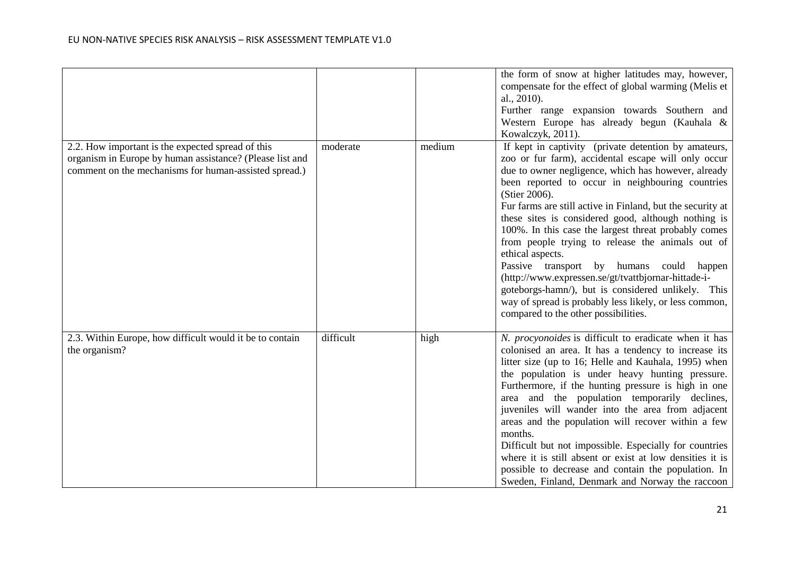|                                                                                                                                                                        |           |        | the form of snow at higher latitudes may, however,<br>compensate for the effect of global warming (Melis et<br>al., 2010).<br>Further range expansion towards Southern and<br>Western Europe has already begun (Kauhala &<br>Kowalczyk, 2011).                                                                                                                                                                                                                                                                                                                                                                                                                                                                                                          |
|------------------------------------------------------------------------------------------------------------------------------------------------------------------------|-----------|--------|---------------------------------------------------------------------------------------------------------------------------------------------------------------------------------------------------------------------------------------------------------------------------------------------------------------------------------------------------------------------------------------------------------------------------------------------------------------------------------------------------------------------------------------------------------------------------------------------------------------------------------------------------------------------------------------------------------------------------------------------------------|
| 2.2. How important is the expected spread of this<br>organism in Europe by human assistance? (Please list and<br>comment on the mechanisms for human-assisted spread.) | moderate  | medium | If kept in captivity (private detention by amateurs,<br>zoo or fur farm), accidental escape will only occur<br>due to owner negligence, which has however, already<br>been reported to occur in neighbouring countries<br>(Stier 2006).<br>Fur farms are still active in Finland, but the security at<br>these sites is considered good, although nothing is<br>100%. In this case the largest threat probably comes<br>from people trying to release the animals out of<br>ethical aspects.<br>Passive transport by humans could happen<br>(http://www.expressen.se/gt/tvattbjornar-hittade-i-<br>goteborgs-hamn/), but is considered unlikely. This<br>way of spread is probably less likely, or less common,<br>compared to the other possibilities. |
| 2.3. Within Europe, how difficult would it be to contain<br>the organism?                                                                                              | difficult | high   | N. procyonoides is difficult to eradicate when it has<br>colonised an area. It has a tendency to increase its<br>litter size (up to 16; Helle and Kauhala, 1995) when<br>the population is under heavy hunting pressure.<br>Furthermore, if the hunting pressure is high in one<br>area and the population temporarily declines,<br>juveniles will wander into the area from adjacent<br>areas and the population will recover within a few<br>months.<br>Difficult but not impossible. Especially for countries<br>where it is still absent or exist at low densities it is<br>possible to decrease and contain the population. In<br>Sweden, Finland, Denmark and Norway the raccoon                                                                  |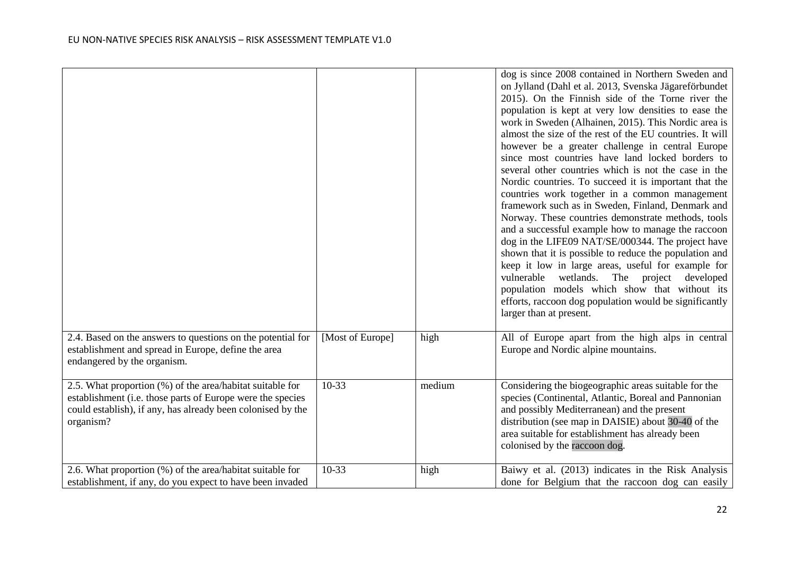|                                                                                                                                                                                                     |                  |        | dog is since 2008 contained in Northern Sweden and<br>on Jylland (Dahl et al. 2013, Svenska Jägareförbundet<br>2015). On the Finnish side of the Torne river the<br>population is kept at very low densities to ease the<br>work in Sweden (Alhainen, 2015). This Nordic area is<br>almost the size of the rest of the EU countries. It will<br>however be a greater challenge in central Europe<br>since most countries have land locked borders to<br>several other countries which is not the case in the<br>Nordic countries. To succeed it is important that the<br>countries work together in a common management<br>framework such as in Sweden, Finland, Denmark and<br>Norway. These countries demonstrate methods, tools<br>and a successful example how to manage the raccoon<br>dog in the LIFE09 NAT/SE/000344. The project have<br>shown that it is possible to reduce the population and<br>keep it low in large areas, useful for example for<br>vulnerable wetlands. The project developed<br>population models which show that without its<br>efforts, raccoon dog population would be significantly<br>larger than at present. |
|-----------------------------------------------------------------------------------------------------------------------------------------------------------------------------------------------------|------------------|--------|---------------------------------------------------------------------------------------------------------------------------------------------------------------------------------------------------------------------------------------------------------------------------------------------------------------------------------------------------------------------------------------------------------------------------------------------------------------------------------------------------------------------------------------------------------------------------------------------------------------------------------------------------------------------------------------------------------------------------------------------------------------------------------------------------------------------------------------------------------------------------------------------------------------------------------------------------------------------------------------------------------------------------------------------------------------------------------------------------------------------------------------------------|
| 2.4. Based on the answers to questions on the potential for<br>establishment and spread in Europe, define the area<br>endangered by the organism.                                                   | [Most of Europe] | high   | All of Europe apart from the high alps in central<br>Europe and Nordic alpine mountains.                                                                                                                                                                                                                                                                                                                                                                                                                                                                                                                                                                                                                                                                                                                                                                                                                                                                                                                                                                                                                                                          |
| 2.5. What proportion (%) of the area/habitat suitable for<br>establishment (i.e. those parts of Europe were the species<br>could establish), if any, has already been colonised by the<br>organism? | $10-33$          | medium | Considering the biogeographic areas suitable for the<br>species (Continental, Atlantic, Boreal and Pannonian<br>and possibly Mediterranean) and the present<br>distribution (see map in DAISIE) about 30-40 of the<br>area suitable for establishment has already been<br>colonised by the raccoon dog.                                                                                                                                                                                                                                                                                                                                                                                                                                                                                                                                                                                                                                                                                                                                                                                                                                           |
| 2.6. What proportion (%) of the area/habitat suitable for<br>establishment, if any, do you expect to have been invaded                                                                              | $10-33$          | high   | Baiwy et al. (2013) indicates in the Risk Analysis<br>done for Belgium that the raccoon dog can easily                                                                                                                                                                                                                                                                                                                                                                                                                                                                                                                                                                                                                                                                                                                                                                                                                                                                                                                                                                                                                                            |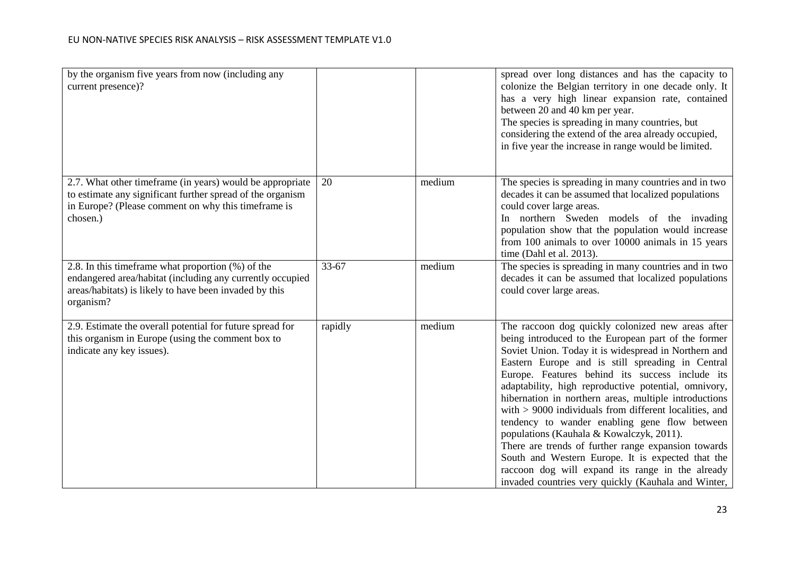| by the organism five years from now (including any<br>current presence)?                                                                                                                   |         |        | spread over long distances and has the capacity to<br>colonize the Belgian territory in one decade only. It<br>has a very high linear expansion rate, contained<br>between 20 and 40 km per year.<br>The species is spreading in many countries, but<br>considering the extend of the area already occupied,<br>in five year the increase in range would be limited.                                                                                                                                                                                                                                                                                                                                                                                                     |
|--------------------------------------------------------------------------------------------------------------------------------------------------------------------------------------------|---------|--------|--------------------------------------------------------------------------------------------------------------------------------------------------------------------------------------------------------------------------------------------------------------------------------------------------------------------------------------------------------------------------------------------------------------------------------------------------------------------------------------------------------------------------------------------------------------------------------------------------------------------------------------------------------------------------------------------------------------------------------------------------------------------------|
| 2.7. What other timeframe (in years) would be appropriate<br>to estimate any significant further spread of the organism<br>in Europe? (Please comment on why this timeframe is<br>chosen.) | 20      | medium | The species is spreading in many countries and in two<br>decades it can be assumed that localized populations<br>could cover large areas.<br>In northern Sweden models of the invading<br>population show that the population would increase<br>from 100 animals to over 10000 animals in 15 years<br>time (Dahl et al. 2013).                                                                                                                                                                                                                                                                                                                                                                                                                                           |
| 2.8. In this timeframe what proportion (%) of the<br>endangered area/habitat (including any currently occupied<br>areas/habitats) is likely to have been invaded by this<br>organism?      | 33-67   | medium | The species is spreading in many countries and in two<br>decades it can be assumed that localized populations<br>could cover large areas.                                                                                                                                                                                                                                                                                                                                                                                                                                                                                                                                                                                                                                |
| 2.9. Estimate the overall potential for future spread for<br>this organism in Europe (using the comment box to<br>indicate any key issues).                                                | rapidly | medium | The raccoon dog quickly colonized new areas after<br>being introduced to the European part of the former<br>Soviet Union. Today it is widespread in Northern and<br>Eastern Europe and is still spreading in Central<br>Europe. Features behind its success include its<br>adaptability, high reproductive potential, omnivory,<br>hibernation in northern areas, multiple introductions<br>with $> 9000$ individuals from different localities, and<br>tendency to wander enabling gene flow between<br>populations (Kauhala & Kowalczyk, 2011).<br>There are trends of further range expansion towards<br>South and Western Europe. It is expected that the<br>raccoon dog will expand its range in the already<br>invaded countries very quickly (Kauhala and Winter, |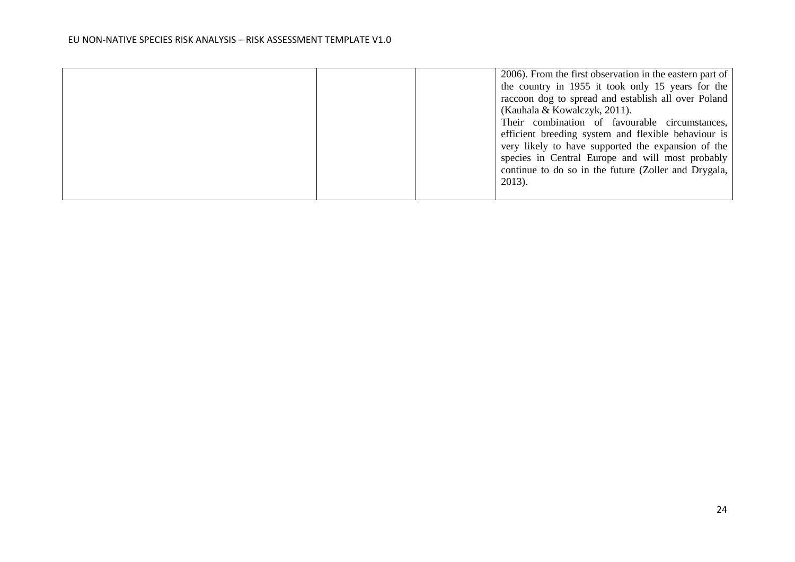| 2006). From the first observation in the eastern part of<br>the country in 1955 it took only 15 years for the<br>raccoon dog to spread and establish all over Poland                                                                                                                                                 |
|----------------------------------------------------------------------------------------------------------------------------------------------------------------------------------------------------------------------------------------------------------------------------------------------------------------------|
| (Kauhala & Kowalczyk, 2011).<br>Their combination of favourable circumstances,<br>efficient breeding system and flexible behaviour is<br>very likely to have supported the expansion of the<br>species in Central Europe and will most probably<br>continue to do so in the future (Zoller and Drygala,<br>$2013$ ). |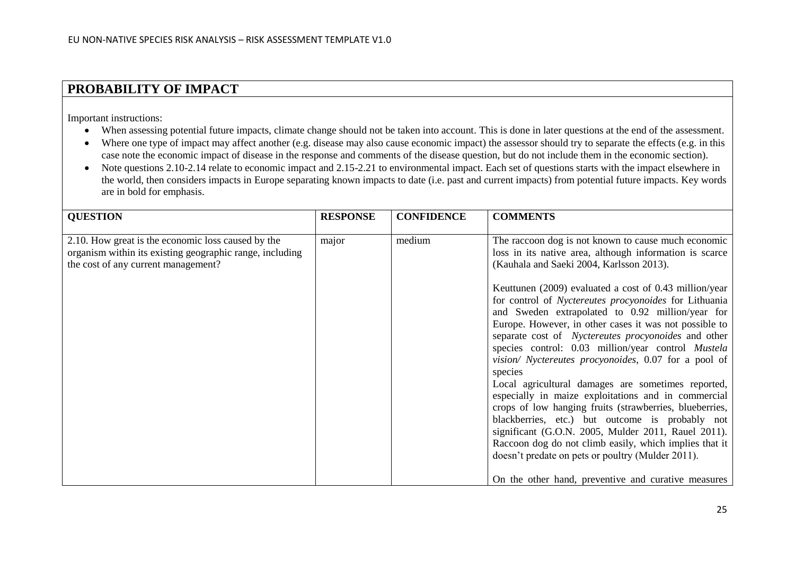### **PROBABILITY OF IMPACT**

Important instructions:

- When assessing potential future impacts, climate change should not be taken into account. This is done in later questions at the end of the assessment.
- Where one type of impact may affect another (e.g. disease may also cause economic impact) the assessor should try to separate the effects (e.g. in this case note the economic impact of disease in the response and comments of the disease question, but do not include them in the economic section).
- Note questions 2.10-2.14 relate to economic impact and 2.15-2.21 to environmental impact. Each set of questions starts with the impact elsewhere in the world, then considers impacts in Europe separating known impacts to date (i.e. past and current impacts) from potential future impacts. Key words are in bold for emphasis.

| <b>QUESTION</b>                                                                                                                                       | <b>RESPONSE</b> | <b>CONFIDENCE</b> | <b>COMMENTS</b>                                                                                                                                                                                                                                                                                                                                                                                                                                                                                                                                                                                                                                                                                                                                                                                                                                                                                                                                                                                                                     |
|-------------------------------------------------------------------------------------------------------------------------------------------------------|-----------------|-------------------|-------------------------------------------------------------------------------------------------------------------------------------------------------------------------------------------------------------------------------------------------------------------------------------------------------------------------------------------------------------------------------------------------------------------------------------------------------------------------------------------------------------------------------------------------------------------------------------------------------------------------------------------------------------------------------------------------------------------------------------------------------------------------------------------------------------------------------------------------------------------------------------------------------------------------------------------------------------------------------------------------------------------------------------|
| 2.10. How great is the economic loss caused by the<br>organism within its existing geographic range, including<br>the cost of any current management? | major           | medium            | The raccoon dog is not known to cause much economic<br>loss in its native area, although information is scarce<br>(Kauhala and Saeki 2004, Karlsson 2013).<br>Keuttunen (2009) evaluated a cost of 0.43 million/year<br>for control of Nyctereutes procyonoides for Lithuania<br>and Sweden extrapolated to 0.92 million/year for<br>Europe. However, in other cases it was not possible to<br>separate cost of Nyctereutes procyonoides and other<br>species control: 0.03 million/year control Mustela<br>vision/ Nyctereutes procyonoides, 0.07 for a pool of<br>species<br>Local agricultural damages are sometimes reported,<br>especially in maize exploitations and in commercial<br>crops of low hanging fruits (strawberries, blueberries,<br>blackberries, etc.) but outcome is probably not<br>significant (G.O.N. 2005, Mulder 2011, Rauel 2011).<br>Raccoon dog do not climb easily, which implies that it<br>doesn't predate on pets or poultry (Mulder 2011).<br>On the other hand, preventive and curative measures |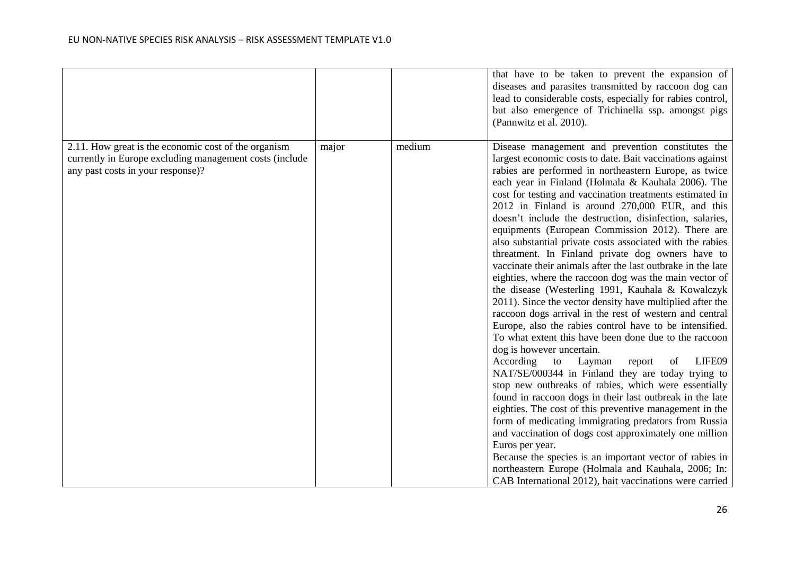|                                                                                                                                                      |       |        | that have to be taken to prevent the expansion of<br>diseases and parasites transmitted by raccoon dog can<br>lead to considerable costs, especially for rabies control,<br>but also emergence of Trichinella ssp. amongst pigs<br>(Pannwitz et al. 2010).                                                                                                                                                                                                                                                                                                                                                                                                                                                                                                                                                                                                                                                                                                                                                                                                                                                                                                                                                                                                                                                                                                                                                                                                                                                                                                                                                                                         |
|------------------------------------------------------------------------------------------------------------------------------------------------------|-------|--------|----------------------------------------------------------------------------------------------------------------------------------------------------------------------------------------------------------------------------------------------------------------------------------------------------------------------------------------------------------------------------------------------------------------------------------------------------------------------------------------------------------------------------------------------------------------------------------------------------------------------------------------------------------------------------------------------------------------------------------------------------------------------------------------------------------------------------------------------------------------------------------------------------------------------------------------------------------------------------------------------------------------------------------------------------------------------------------------------------------------------------------------------------------------------------------------------------------------------------------------------------------------------------------------------------------------------------------------------------------------------------------------------------------------------------------------------------------------------------------------------------------------------------------------------------------------------------------------------------------------------------------------------------|
| 2.11. How great is the economic cost of the organism<br>currently in Europe excluding management costs (include<br>any past costs in your response)? | major | medium | Disease management and prevention constitutes the<br>largest economic costs to date. Bait vaccinations against<br>rabies are performed in northeastern Europe, as twice<br>each year in Finland (Holmala & Kauhala 2006). The<br>cost for testing and vaccination treatments estimated in<br>2012 in Finland is around 270,000 EUR, and this<br>doesn't include the destruction, disinfection, salaries,<br>equipments (European Commission 2012). There are<br>also substantial private costs associated with the rabies<br>threatment. In Finland private dog owners have to<br>vaccinate their animals after the last outbrake in the late<br>eighties, where the raccoon dog was the main vector of<br>the disease (Westerling 1991, Kauhala & Kowalczyk<br>2011). Since the vector density have multiplied after the<br>raccoon dogs arrival in the rest of western and central<br>Europe, also the rabies control have to be intensified.<br>To what extent this have been done due to the raccoon<br>dog is however uncertain.<br>LIFE09<br>According<br>to<br>Layman<br>of<br>report<br>NAT/SE/000344 in Finland they are today trying to<br>stop new outbreaks of rabies, which were essentially<br>found in raccoon dogs in their last outbreak in the late<br>eighties. The cost of this preventive management in the<br>form of medicating immigrating predators from Russia<br>and vaccination of dogs cost approximately one million<br>Euros per year.<br>Because the species is an important vector of rabies in<br>northeastern Europe (Holmala and Kauhala, 2006; In:<br>CAB International 2012), bait vaccinations were carried |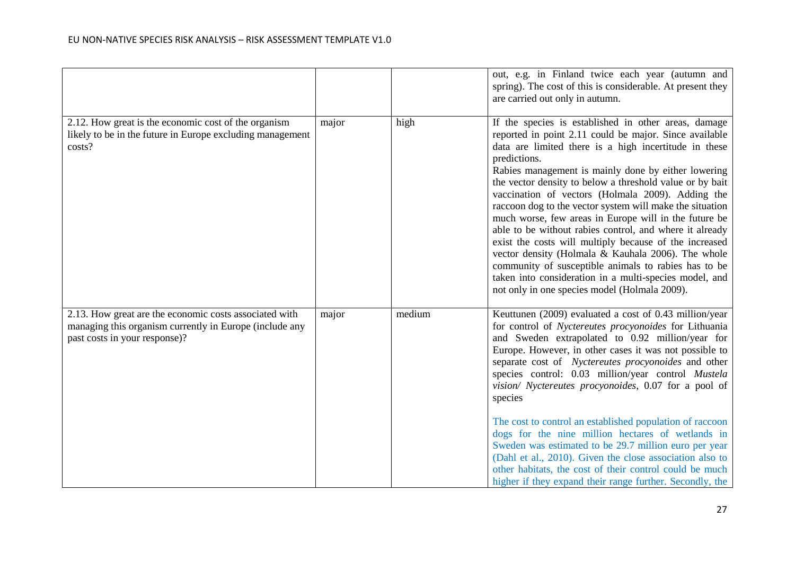|                                                                                                                                                    |       |        | out, e.g. in Finland twice each year (autumn and<br>spring). The cost of this is considerable. At present they<br>are carried out only in autumn.                                                                                                                                                                                                                                                                                                                                                                                                                                                                                                                                                                                                                                                                                  |
|----------------------------------------------------------------------------------------------------------------------------------------------------|-------|--------|------------------------------------------------------------------------------------------------------------------------------------------------------------------------------------------------------------------------------------------------------------------------------------------------------------------------------------------------------------------------------------------------------------------------------------------------------------------------------------------------------------------------------------------------------------------------------------------------------------------------------------------------------------------------------------------------------------------------------------------------------------------------------------------------------------------------------------|
| 2.12. How great is the economic cost of the organism<br>likely to be in the future in Europe excluding management<br>costs?                        | major | high   | If the species is established in other areas, damage<br>reported in point 2.11 could be major. Since available<br>data are limited there is a high incertitude in these<br>predictions.<br>Rabies management is mainly done by either lowering<br>the vector density to below a threshold value or by bait<br>vaccination of vectors (Holmala 2009). Adding the<br>raccoon dog to the vector system will make the situation<br>much worse, few areas in Europe will in the future be<br>able to be without rabies control, and where it already<br>exist the costs will multiply because of the increased<br>vector density (Holmala & Kauhala 2006). The whole<br>community of susceptible animals to rabies has to be<br>taken into consideration in a multi-species model, and<br>not only in one species model (Holmala 2009). |
| 2.13. How great are the economic costs associated with<br>managing this organism currently in Europe (include any<br>past costs in your response)? | major | medium | Keuttunen (2009) evaluated a cost of 0.43 million/year<br>for control of Nyctereutes procyonoides for Lithuania<br>and Sweden extrapolated to 0.92 million/year for<br>Europe. However, in other cases it was not possible to<br>separate cost of Nyctereutes procyonoides and other<br>species control: 0.03 million/year control Mustela<br>vision/ Nyctereutes procyonoides, 0.07 for a pool of<br>species<br>The cost to control an established population of raccoon<br>dogs for the nine million hectares of wetlands in<br>Sweden was estimated to be 29.7 million euro per year<br>(Dahl et al., 2010). Given the close association also to<br>other habitats, the cost of their control could be much<br>higher if they expand their range further. Secondly, the                                                         |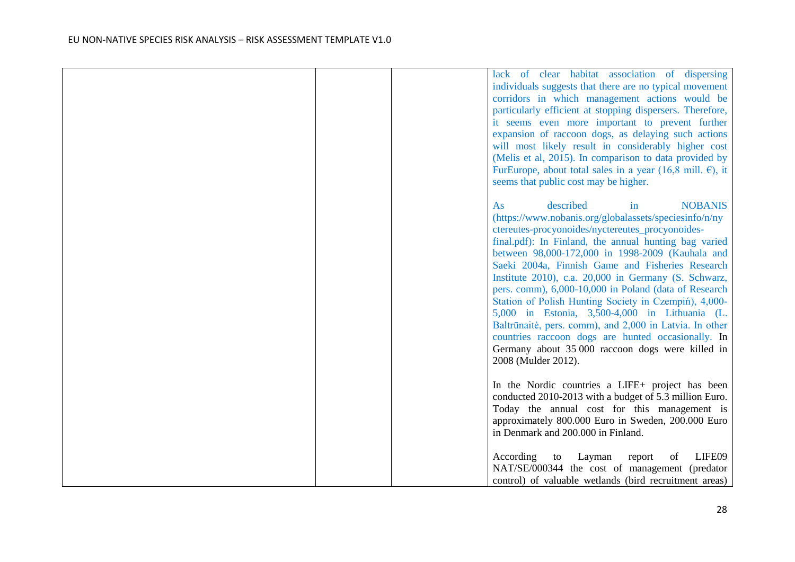|  | lack of clear habitat association of dispersing<br>individuals suggests that there are no typical movement<br>corridors in which management actions would be<br>particularly efficient at stopping dispersers. Therefore,<br>it seems even more important to prevent further<br>expansion of raccoon dogs, as delaying such actions<br>will most likely result in considerably higher cost<br>(Melis et al, 2015). In comparison to data provided by<br>FurEurope, about total sales in a year (16,8 mill. $\epsilon$ ), it<br>seems that public cost may be higher.                                                                                                                                                                           |
|--|------------------------------------------------------------------------------------------------------------------------------------------------------------------------------------------------------------------------------------------------------------------------------------------------------------------------------------------------------------------------------------------------------------------------------------------------------------------------------------------------------------------------------------------------------------------------------------------------------------------------------------------------------------------------------------------------------------------------------------------------|
|  | described<br><b>NOBANIS</b><br>As<br>in<br>(https://www.nobanis.org/globalassets/speciesinfo/n/ny<br>ctereutes-procyonoides/nyctereutes_procyonoides-<br>final.pdf): In Finland, the annual hunting bag varied<br>between 98,000-172,000 in 1998-2009 (Kauhala and<br>Saeki 2004a, Finnish Game and Fisheries Research<br>Institute 2010), c.a. 20,000 in Germany (S. Schwarz,<br>pers. comm), 6,000-10,000 in Poland (data of Research<br>Station of Polish Hunting Society in Czempiń), 4,000-<br>5,000 in Estonia, 3,500-4,000 in Lithuania (L.<br>Baltrūnaitė, pers. comm), and 2,000 in Latvia. In other<br>countries raccoon dogs are hunted occasionally. In<br>Germany about 35 000 raccoon dogs were killed in<br>2008 (Mulder 2012). |
|  | In the Nordic countries a LIFE+ project has been<br>conducted 2010-2013 with a budget of 5.3 million Euro.<br>Today the annual cost for this management is<br>approximately 800.000 Euro in Sweden, 200.000 Euro<br>in Denmark and 200.000 in Finland.<br>LIFE09<br>According<br>Layman<br>report<br>of<br>to<br>NAT/SE/000344 the cost of management (predator<br>control) of valuable wetlands (bird recruitment areas)                                                                                                                                                                                                                                                                                                                      |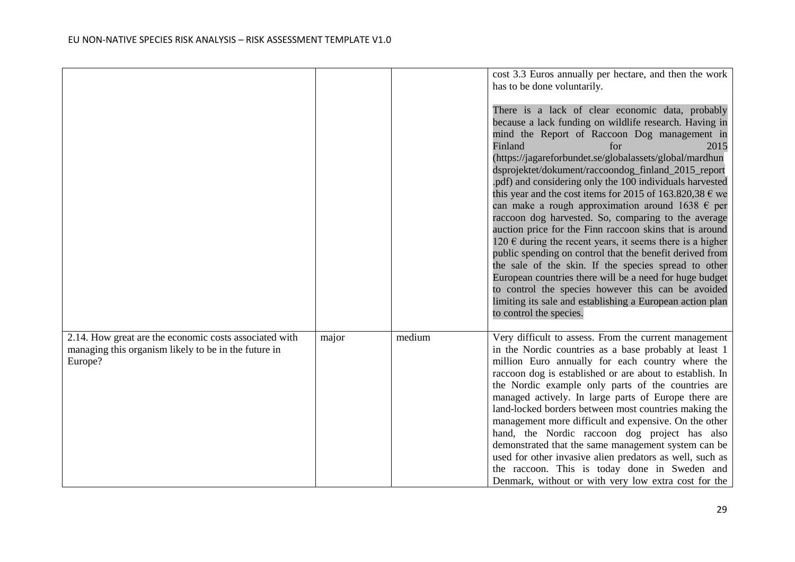|                                                                                                                           |       |        | cost 3.3 Euros annually per hectare, and then the work<br>has to be done voluntarily.<br>There is a lack of clear economic data, probably<br>because a lack funding on wildlife research. Having in<br>mind the Report of Raccoon Dog management in<br>Finland<br>for<br>2015<br>(https://jagareforbundet.se/globalassets/global/mardhun<br>dsprojektet/dokument/raccoondog_finland_2015_report<br>.pdf) and considering only the 100 individuals harvested<br>this year and the cost items for 2015 of 163.820,38 $\epsilon$ we<br>can make a rough approximation around 1638 $\epsilon$ per<br>raccoon dog harvested. So, comparing to the average<br>auction price for the Finn raccoon skins that is around<br>120 $\epsilon$ during the recent years, it seems there is a higher<br>public spending on control that the benefit derived from<br>the sale of the skin. If the species spread to other<br>European countries there will be a need for huge budget<br>to control the species however this can be avoided<br>limiting its sale and establishing a European action plan<br>to control the species. |
|---------------------------------------------------------------------------------------------------------------------------|-------|--------|--------------------------------------------------------------------------------------------------------------------------------------------------------------------------------------------------------------------------------------------------------------------------------------------------------------------------------------------------------------------------------------------------------------------------------------------------------------------------------------------------------------------------------------------------------------------------------------------------------------------------------------------------------------------------------------------------------------------------------------------------------------------------------------------------------------------------------------------------------------------------------------------------------------------------------------------------------------------------------------------------------------------------------------------------------------------------------------------------------------------|
| 2.14. How great are the economic costs associated with<br>managing this organism likely to be in the future in<br>Europe? | major | medium | Very difficult to assess. From the current management<br>in the Nordic countries as a base probably at least 1<br>million Euro annually for each country where the<br>raccoon dog is established or are about to establish. In<br>the Nordic example only parts of the countries are<br>managed actively. In large parts of Europe there are<br>land-locked borders between most countries making the<br>management more difficult and expensive. On the other<br>hand, the Nordic raccoon dog project has also<br>demonstrated that the same management system can be<br>used for other invasive alien predators as well, such as<br>the raccoon. This is today done in Sweden and<br>Denmark, without or with very low extra cost for the                                                                                                                                                                                                                                                                                                                                                                        |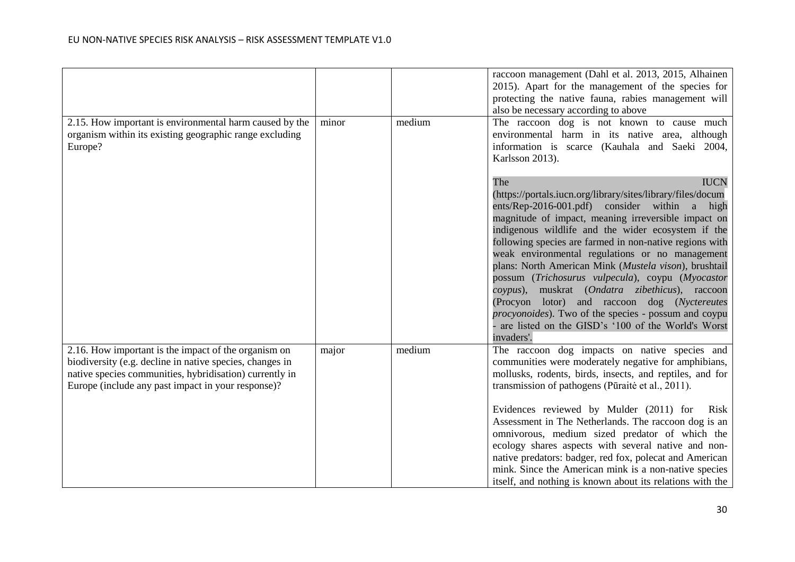|                                                                                                                                                                                                                                   |       |        | raccoon management (Dahl et al. 2013, 2015, Alhainen<br>2015). Apart for the management of the species for<br>protecting the native fauna, rabies management will<br>also be necessary according to above                                                                                                                                                                                                                                                                                                   |
|-----------------------------------------------------------------------------------------------------------------------------------------------------------------------------------------------------------------------------------|-------|--------|-------------------------------------------------------------------------------------------------------------------------------------------------------------------------------------------------------------------------------------------------------------------------------------------------------------------------------------------------------------------------------------------------------------------------------------------------------------------------------------------------------------|
| 2.15. How important is environmental harm caused by the<br>organism within its existing geographic range excluding<br>Europe?                                                                                                     | minor | medium | The raccoon dog is not known to cause much<br>environmental harm in its native area, although<br>information is scarce (Kauhala and Saeki 2004,<br>Karlsson 2013).<br><b>IUCN</b><br>The<br>(https://portals.iucn.org/library/sites/library/files/docum<br>ents/Rep-2016-001.pdf) consider within a high<br>magnitude of impact, meaning irreversible impact on                                                                                                                                             |
|                                                                                                                                                                                                                                   |       |        | indigenous wildlife and the wider ecosystem if the<br>following species are farmed in non-native regions with<br>weak environmental regulations or no management<br>plans: North American Mink (Mustela vison), brushtail<br>possum (Trichosurus vulpecula), coypu (Myocastor<br>coypus), muskrat (Ondatra zibethicus), raccoon<br>(Procyon lotor) and raccoon dog (Nyctereutes<br>procyonoides). Two of the species - possum and coypu<br>are listed on the GISD's '100 of the World's Worst<br>invaders'. |
| 2.16. How important is the impact of the organism on<br>biodiversity (e.g. decline in native species, changes in<br>native species communities, hybridisation) currently in<br>Europe (include any past impact in your response)? | major | medium | The raccoon dog impacts on native species and<br>communities were moderately negative for amphibians,<br>mollusks, rodents, birds, insects, and reptiles, and for<br>transmission of pathogens (Pūraitė et al., 2011).                                                                                                                                                                                                                                                                                      |
|                                                                                                                                                                                                                                   |       |        | Evidences reviewed by Mulder (2011) for<br>Risk<br>Assessment in The Netherlands. The raccoon dog is an<br>omnivorous, medium sized predator of which the<br>ecology shares aspects with several native and non-<br>native predators: badger, red fox, polecat and American<br>mink. Since the American mink is a non-native species<br>itself, and nothing is known about its relations with the                                                                                                           |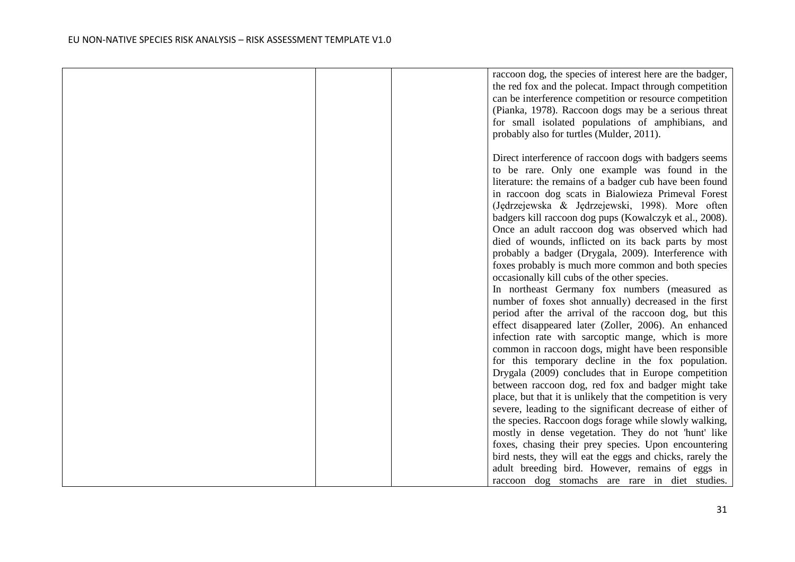|  | raccoon dog, the species of interest here are the badger,   |
|--|-------------------------------------------------------------|
|  | the red fox and the polecat. Impact through competition     |
|  | can be interference competition or resource competition     |
|  | (Pianka, 1978). Raccoon dogs may be a serious threat        |
|  | for small isolated populations of amphibians, and           |
|  | probably also for turtles (Mulder, 2011).                   |
|  |                                                             |
|  | Direct interference of raccoon dogs with badgers seems      |
|  | to be rare. Only one example was found in the               |
|  | literature: the remains of a badger cub have been found     |
|  | in raccoon dog scats in Bialowieza Primeval Forest          |
|  | (Jędrzejewska & Jędrzejewski, 1998). More often             |
|  | badgers kill raccoon dog pups (Kowalczyk et al., 2008).     |
|  | Once an adult raccoon dog was observed which had            |
|  | died of wounds, inflicted on its back parts by most         |
|  | probably a badger (Drygala, 2009). Interference with        |
|  | foxes probably is much more common and both species         |
|  | occasionally kill cubs of the other species.                |
|  | In northeast Germany fox numbers (measured as               |
|  | number of foxes shot annually) decreased in the first       |
|  | period after the arrival of the raccoon dog, but this       |
|  |                                                             |
|  | effect disappeared later (Zoller, 2006). An enhanced        |
|  | infection rate with sarcoptic mange, which is more          |
|  | common in raccoon dogs, might have been responsible         |
|  | for this temporary decline in the fox population.           |
|  | Drygala (2009) concludes that in Europe competition         |
|  | between raccoon dog, red fox and badger might take          |
|  | place, but that it is unlikely that the competition is very |
|  | severe, leading to the significant decrease of either of    |
|  | the species. Raccoon dogs forage while slowly walking,      |
|  | mostly in dense vegetation. They do not 'hunt' like         |
|  | foxes, chasing their prey species. Upon encountering        |
|  | bird nests, they will eat the eggs and chicks, rarely the   |
|  | adult breeding bird. However, remains of eggs in            |
|  | raccoon dog stomachs are rare in diet studies.              |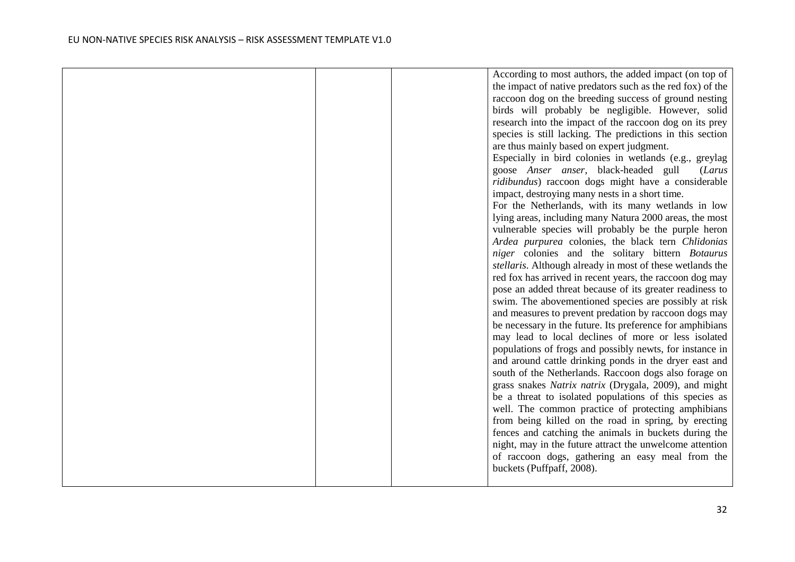|  | According to most authors, the added impact (on top of     |
|--|------------------------------------------------------------|
|  | the impact of native predators such as the red fox) of the |
|  | raccoon dog on the breeding success of ground nesting      |
|  | birds will probably be negligible. However, solid          |
|  | research into the impact of the raccoon dog on its prey    |
|  | species is still lacking. The predictions in this section  |
|  | are thus mainly based on expert judgment.                  |
|  | Especially in bird colonies in wetlands (e.g., greylag     |
|  | goose Anser anser, black-headed gull<br>(Larus             |
|  | ridibundus) raccoon dogs might have a considerable         |
|  | impact, destroying many nests in a short time.             |
|  | For the Netherlands, with its many wetlands in low         |
|  | lying areas, including many Natura 2000 areas, the most    |
|  | vulnerable species will probably be the purple heron       |
|  | Ardea purpurea colonies, the black tern Chlidonias         |
|  | niger colonies and the solitary bittern Botaurus           |
|  | stellaris. Although already in most of these wetlands the  |
|  | red fox has arrived in recent years, the raccoon dog may   |
|  | pose an added threat because of its greater readiness to   |
|  | swim. The abovementioned species are possibly at risk      |
|  | and measures to prevent predation by raccoon dogs may      |
|  | be necessary in the future. Its preference for amphibians  |
|  | may lead to local declines of more or less isolated        |
|  | populations of frogs and possibly newts, for instance in   |
|  | and around cattle drinking ponds in the dryer east and     |
|  | south of the Netherlands. Raccoon dogs also forage on      |
|  | grass snakes Natrix natrix (Drygala, 2009), and might      |
|  | be a threat to isolated populations of this species as     |
|  | well. The common practice of protecting amphibians         |
|  | from being killed on the road in spring, by erecting       |
|  | fences and catching the animals in buckets during the      |
|  | night, may in the future attract the unwelcome attention   |
|  | of raccoon dogs, gathering an easy meal from the           |
|  | buckets (Puffpaff, 2008).                                  |
|  |                                                            |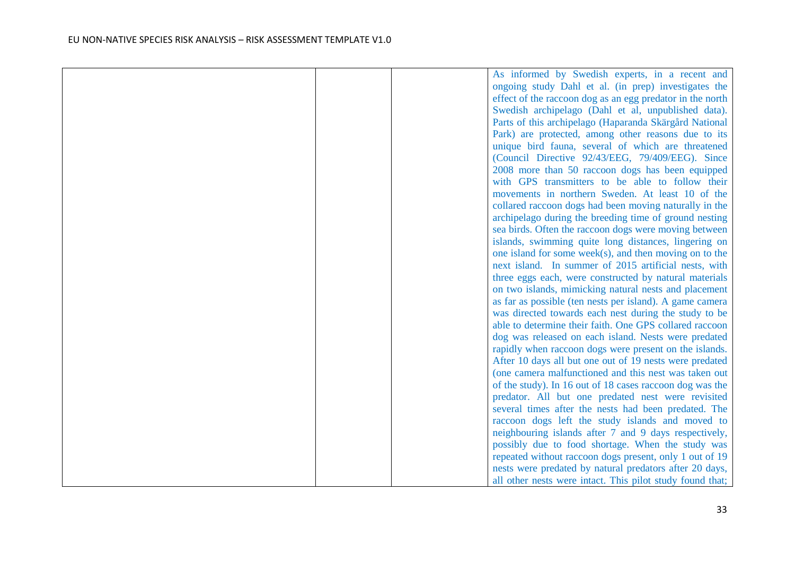|  | As informed by Swedish experts, in a recent and            |
|--|------------------------------------------------------------|
|  | ongoing study Dahl et al. (in prep) investigates the       |
|  | effect of the raccoon dog as an egg predator in the north  |
|  | Swedish archipelago (Dahl et al, unpublished data).        |
|  | Parts of this archipelago (Haparanda Skärgård National     |
|  | Park) are protected, among other reasons due to its        |
|  | unique bird fauna, several of which are threatened         |
|  | (Council Directive 92/43/EEG, 79/409/EEG). Since           |
|  | 2008 more than 50 raccoon dogs has been equipped           |
|  | with GPS transmitters to be able to follow their           |
|  | movements in northern Sweden. At least 10 of the           |
|  | collared raccoon dogs had been moving naturally in the     |
|  | archipelago during the breeding time of ground nesting     |
|  | sea birds. Often the raccoon dogs were moving between      |
|  | islands, swimming quite long distances, lingering on       |
|  | one island for some week $(s)$ , and then moving on to the |
|  | next island. In summer of 2015 artificial nests, with      |
|  | three eggs each, were constructed by natural materials     |
|  | on two islands, mimicking natural nests and placement      |
|  | as far as possible (ten nests per island). A game camera   |
|  | was directed towards each nest during the study to be      |
|  | able to determine their faith. One GPS collared raccoon    |
|  | dog was released on each island. Nests were predated       |
|  | rapidly when raccoon dogs were present on the islands.     |
|  | After 10 days all but one out of 19 nests were predated    |
|  | (one camera malfunctioned and this nest was taken out      |
|  | of the study). In 16 out of 18 cases raccoon dog was the   |
|  | predator. All but one predated nest were revisited         |
|  | several times after the nests had been predated. The       |
|  | raccoon dogs left the study islands and moved to           |
|  | neighbouring islands after 7 and 9 days respectively,      |
|  | possibly due to food shortage. When the study was          |
|  | repeated without raccoon dogs present, only 1 out of 19    |
|  | nests were predated by natural predators after 20 days,    |
|  | all other nests were intact. This pilot study found that;  |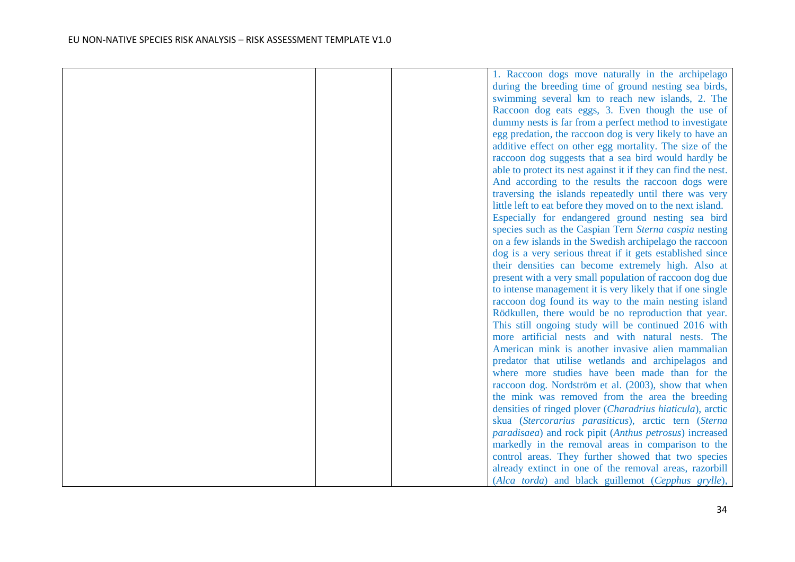|  | 1. Raccoon dogs move naturally in the archipelago                       |
|--|-------------------------------------------------------------------------|
|  | during the breeding time of ground nesting sea birds,                   |
|  | swimming several km to reach new islands, 2. The                        |
|  | Raccoon dog eats eggs, 3. Even though the use of                        |
|  | dummy nests is far from a perfect method to investigate                 |
|  | egg predation, the raccoon dog is very likely to have an                |
|  | additive effect on other egg mortality. The size of the                 |
|  | raccoon dog suggests that a sea bird would hardly be                    |
|  | able to protect its nest against it if they can find the nest.          |
|  | And according to the results the raccoon dogs were                      |
|  | traversing the islands repeatedly until there was very                  |
|  | little left to eat before they moved on to the next island.             |
|  | Especially for endangered ground nesting sea bird                       |
|  | species such as the Caspian Tern Sterna caspia nesting                  |
|  | on a few islands in the Swedish archipelago the raccoon                 |
|  | dog is a very serious threat if it gets established since               |
|  | their densities can become extremely high. Also at                      |
|  | present with a very small population of raccoon dog due                 |
|  | to intense management it is very likely that if one single              |
|  | raccoon dog found its way to the main nesting island                    |
|  | Rödkullen, there would be no reproduction that year.                    |
|  | This still ongoing study will be continued 2016 with                    |
|  | more artificial nests and with natural nests. The                       |
|  | American mink is another invasive alien mammalian                       |
|  | predator that utilise wetlands and archipelagos and                     |
|  | where more studies have been made than for the                          |
|  | raccoon dog. Nordström et al. (2003), show that when                    |
|  | the mink was removed from the area the breeding                         |
|  | densities of ringed plover (Charadrius hiaticula), arctic               |
|  | skua (Stercorarius parasiticus), arctic tern (Sterna                    |
|  | <i>paradisaea</i> ) and rock pipit ( <i>Anthus petrosus</i> ) increased |
|  | markedly in the removal areas in comparison to the                      |
|  | control areas. They further showed that two species                     |
|  | already extinct in one of the removal areas, razorbill                  |
|  | (Alca torda) and black guillemot (Cepphus grylle),                      |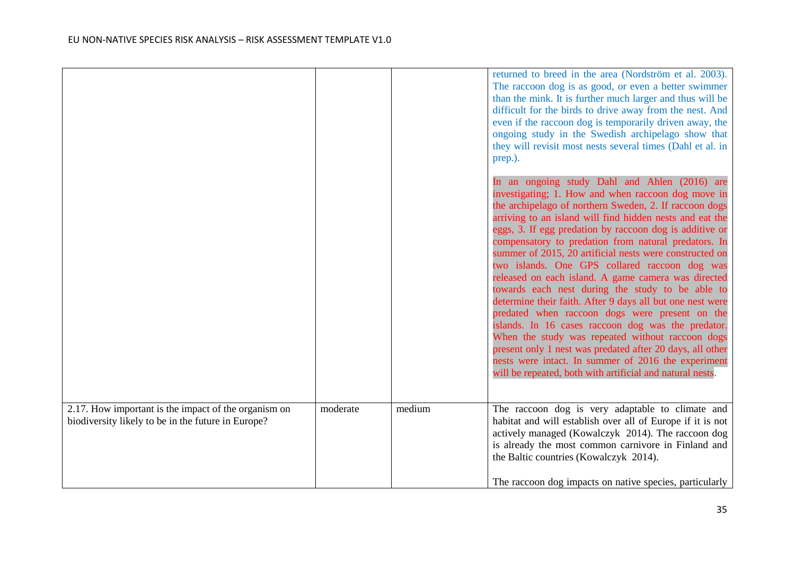|                                                                                                            |          |        | returned to breed in the area (Nordström et al. 2003).<br>The raccoon dog is as good, or even a better swimmer<br>than the mink. It is further much larger and thus will be<br>difficult for the birds to drive away from the nest. And<br>even if the raccoon dog is temporarily driven away, the<br>ongoing study in the Swedish archipelago show that<br>they will revisit most nests several times (Dahl et al. in<br>prep.).                                                                                                                                                                                                                                                                                                                                                                                                                                                                                                                                             |
|------------------------------------------------------------------------------------------------------------|----------|--------|-------------------------------------------------------------------------------------------------------------------------------------------------------------------------------------------------------------------------------------------------------------------------------------------------------------------------------------------------------------------------------------------------------------------------------------------------------------------------------------------------------------------------------------------------------------------------------------------------------------------------------------------------------------------------------------------------------------------------------------------------------------------------------------------------------------------------------------------------------------------------------------------------------------------------------------------------------------------------------|
|                                                                                                            |          |        | In an ongoing study Dahl and Ahlen (2016) are<br>investigating; 1. How and when raccoon dog move in<br>the archipelago of northern Sweden, 2. If raccoon dogs<br>arriving to an island will find hidden nests and eat the<br>eggs, 3. If egg predation by raccoon dog is additive or<br>compensatory to predation from natural predators. In<br>summer of 2015, 20 artificial nests were constructed on<br>two islands. One GPS collared raccoon dog was<br>released on each island. A game camera was directed<br>towards each nest during the study to be able to<br>determine their faith. After 9 days all but one nest were<br>predated when raccoon dogs were present on the<br>islands. In 16 cases raccoon dog was the predator.<br>When the study was repeated without raccoon dogs<br>present only 1 nest was predated after 20 days, all other<br>nests were intact. In summer of 2016 the experiment<br>will be repeated, both with artificial and natural nests. |
| 2.17. How important is the impact of the organism on<br>biodiversity likely to be in the future in Europe? | moderate | medium | The raccoon dog is very adaptable to climate and<br>habitat and will establish over all of Europe if it is not<br>actively managed (Kowalczyk 2014). The raccoon dog<br>is already the most common carnivore in Finland and<br>the Baltic countries (Kowalczyk 2014).<br>The raccoon dog impacts on native species, particularly                                                                                                                                                                                                                                                                                                                                                                                                                                                                                                                                                                                                                                              |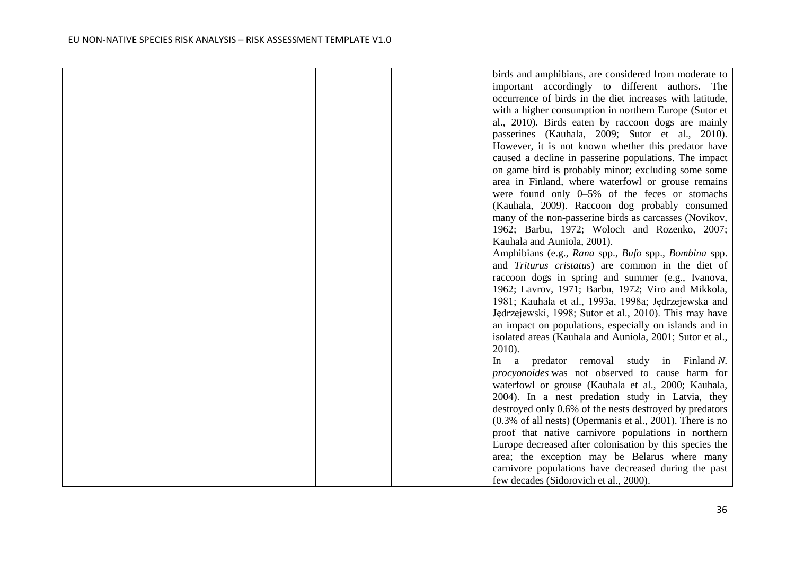|  | birds and amphibians, are considered from moderate to               |
|--|---------------------------------------------------------------------|
|  | important accordingly to different authors. The                     |
|  | occurrence of birds in the diet increases with latitude,            |
|  | with a higher consumption in northern Europe (Sutor et              |
|  | al., 2010). Birds eaten by raccoon dogs are mainly                  |
|  | passerines (Kauhala, 2009; Sutor et al., 2010).                     |
|  | However, it is not known whether this predator have                 |
|  | caused a decline in passerine populations. The impact               |
|  | on game bird is probably minor; excluding some some                 |
|  | area in Finland, where waterfowl or grouse remains                  |
|  | were found only $0-5\%$ of the feces or stomachs                    |
|  | (Kauhala, 2009). Raccoon dog probably consumed                      |
|  | many of the non-passerine birds as carcasses (Novikov,              |
|  | 1962; Barbu, 1972; Woloch and Rozenko, 2007;                        |
|  | Kauhala and Auniola, 2001).                                         |
|  | Amphibians (e.g., Rana spp., Bufo spp., Bombina spp.                |
|  | and Triturus cristatus) are common in the diet of                   |
|  | raccoon dogs in spring and summer (e.g., Ivanova,                   |
|  | 1962; Lavrov, 1971; Barbu, 1972; Viro and Mikkola,                  |
|  | 1981; Kauhala et al., 1993a, 1998a; Jędrzejewska and                |
|  | Jędrzejewski, 1998; Sutor et al., 2010). This may have              |
|  | an impact on populations, especially on islands and in              |
|  | isolated areas (Kauhala and Auniola, 2001; Sutor et al.,            |
|  | $2010$ ).                                                           |
|  | predator removal study in Finland N.<br>a<br>$\ln$                  |
|  | procyonoides was not observed to cause harm for                     |
|  | waterfowl or grouse (Kauhala et al., 2000; Kauhala,                 |
|  | 2004). In a nest predation study in Latvia, they                    |
|  | destroyed only 0.6% of the nests destroyed by predators             |
|  | $(0.3\% \text{ of all nets})$ (Opermanis et al., 2001). There is no |
|  | proof that native carnivore populations in northern                 |
|  | Europe decreased after colonisation by this species the             |
|  | area; the exception may be Belarus where many                       |
|  | carnivore populations have decreased during the past                |
|  | few decades (Sidorovich et al., 2000).                              |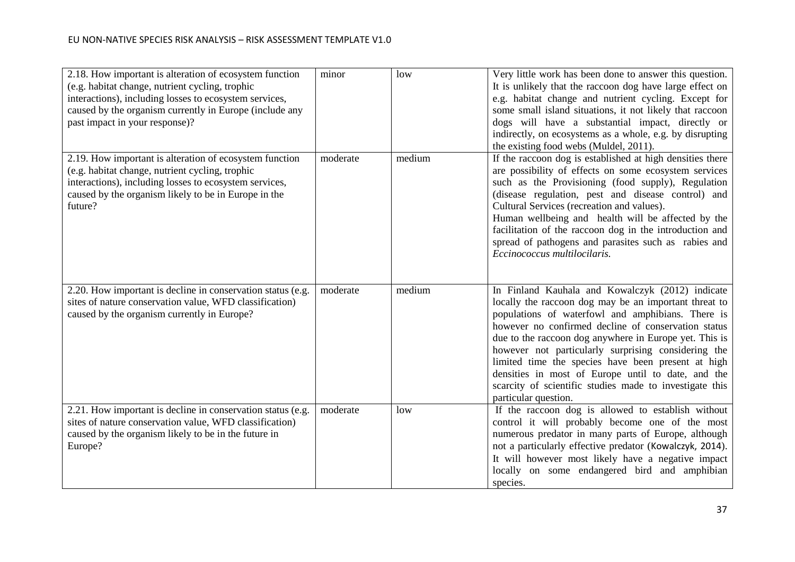| 2.18. How important is alteration of ecosystem function<br>(e.g. habitat change, nutrient cycling, trophic<br>interactions), including losses to ecosystem services,<br>caused by the organism currently in Europe (include any<br>past impact in your response)? | minor    | low    | Very little work has been done to answer this question.<br>It is unlikely that the raccoon dog have large effect on<br>e.g. habitat change and nutrient cycling. Except for<br>some small island situations, it not likely that raccoon<br>dogs will have a substantial impact, directly or<br>indirectly, on ecosystems as a whole, e.g. by disrupting<br>the existing food webs (Muldel, 2011).                                                                                                                                     |
|-------------------------------------------------------------------------------------------------------------------------------------------------------------------------------------------------------------------------------------------------------------------|----------|--------|---------------------------------------------------------------------------------------------------------------------------------------------------------------------------------------------------------------------------------------------------------------------------------------------------------------------------------------------------------------------------------------------------------------------------------------------------------------------------------------------------------------------------------------|
| 2.19. How important is alteration of ecosystem function<br>(e.g. habitat change, nutrient cycling, trophic<br>interactions), including losses to ecosystem services,<br>caused by the organism likely to be in Europe in the<br>future?                           | moderate | medium | If the raccoon dog is established at high densities there<br>are possibility of effects on some ecosystem services<br>such as the Provisioning (food supply), Regulation<br>(disease regulation, pest and disease control) and<br>Cultural Services (recreation and values).<br>Human wellbeing and health will be affected by the<br>facilitation of the raccoon dog in the introduction and<br>spread of pathogens and parasites such as rabies and<br>Eccinococcus multilocilaris.                                                 |
| 2.20. How important is decline in conservation status (e.g.<br>sites of nature conservation value, WFD classification)<br>caused by the organism currently in Europe?                                                                                             | moderate | medium | In Finland Kauhala and Kowalczyk (2012) indicate<br>locally the raccoon dog may be an important threat to<br>populations of waterfowl and amphibians. There is<br>however no confirmed decline of conservation status<br>due to the raccoon dog anywhere in Europe yet. This is<br>however not particularly surprising considering the<br>limited time the species have been present at high<br>densities in most of Europe until to date, and the<br>scarcity of scientific studies made to investigate this<br>particular question. |
| 2.21. How important is decline in conservation status (e.g.<br>sites of nature conservation value, WFD classification)<br>caused by the organism likely to be in the future in<br>Europe?                                                                         | moderate | low    | If the raccoon dog is allowed to establish without<br>control it will probably become one of the most<br>numerous predator in many parts of Europe, although<br>not a particularly effective predator (Kowalczyk, 2014).<br>It will however most likely have a negative impact<br>locally on some endangered bird and amphibian<br>species.                                                                                                                                                                                           |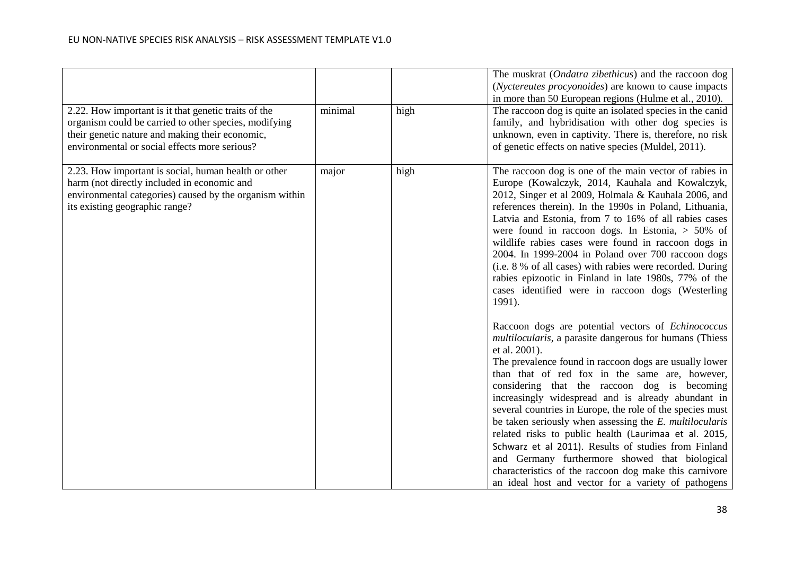| 2.22. How important is it that genetic traits of the<br>organism could be carried to other species, modifying<br>their genetic nature and making their economic,<br>environmental or social effects more serious? | minimal | high | The muskrat ( <i>Ondatra zibethicus</i> ) and the raccoon dog<br>( <i>Nyctereutes procyonoides</i> ) are known to cause impacts<br>in more than 50 European regions (Hulme et al., 2010).<br>The raccoon dog is quite an isolated species in the canid<br>family, and hybridisation with other dog species is<br>unknown, even in captivity. There is, therefore, no risk<br>of genetic effects on native species (Muldel, 2011).                                                                                                                                                                                                                                                                                                                                                                                                                                                                                                                                                                                                                                                                                                                                                                                                                                                                                                                                                                              |
|-------------------------------------------------------------------------------------------------------------------------------------------------------------------------------------------------------------------|---------|------|----------------------------------------------------------------------------------------------------------------------------------------------------------------------------------------------------------------------------------------------------------------------------------------------------------------------------------------------------------------------------------------------------------------------------------------------------------------------------------------------------------------------------------------------------------------------------------------------------------------------------------------------------------------------------------------------------------------------------------------------------------------------------------------------------------------------------------------------------------------------------------------------------------------------------------------------------------------------------------------------------------------------------------------------------------------------------------------------------------------------------------------------------------------------------------------------------------------------------------------------------------------------------------------------------------------------------------------------------------------------------------------------------------------|
| 2.23. How important is social, human health or other<br>harm (not directly included in economic and<br>environmental categories) caused by the organism within<br>its existing geographic range?                  | major   | high | The raccoon dog is one of the main vector of rabies in<br>Europe (Kowalczyk, 2014, Kauhala and Kowalczyk,<br>2012, Singer et al 2009, Holmala & Kauhala 2006, and<br>references therein). In the 1990s in Poland, Lithuania,<br>Latvia and Estonia, from 7 to 16% of all rabies cases<br>were found in raccoon dogs. In Estonia, $> 50\%$ of<br>wildlife rabies cases were found in raccoon dogs in<br>2004. In 1999-2004 in Poland over 700 raccoon dogs<br>(i.e. 8 % of all cases) with rabies were recorded. During<br>rabies epizootic in Finland in late 1980s, 77% of the<br>cases identified were in raccoon dogs (Westerling<br>1991).<br>Raccoon dogs are potential vectors of Echinococcus<br>multilocularis, a parasite dangerous for humans (Thiess<br>et al. 2001).<br>The prevalence found in raccoon dogs are usually lower<br>than that of red fox in the same are, however,<br>considering that the raccoon dog is becoming<br>increasingly widespread and is already abundant in<br>several countries in Europe, the role of the species must<br>be taken seriously when assessing the E. multilocularis<br>related risks to public health (Laurimaa et al. 2015,<br>Schwarz et al 2011). Results of studies from Finland<br>and Germany furthermore showed that biological<br>characteristics of the raccoon dog make this carnivore<br>an ideal host and vector for a variety of pathogens |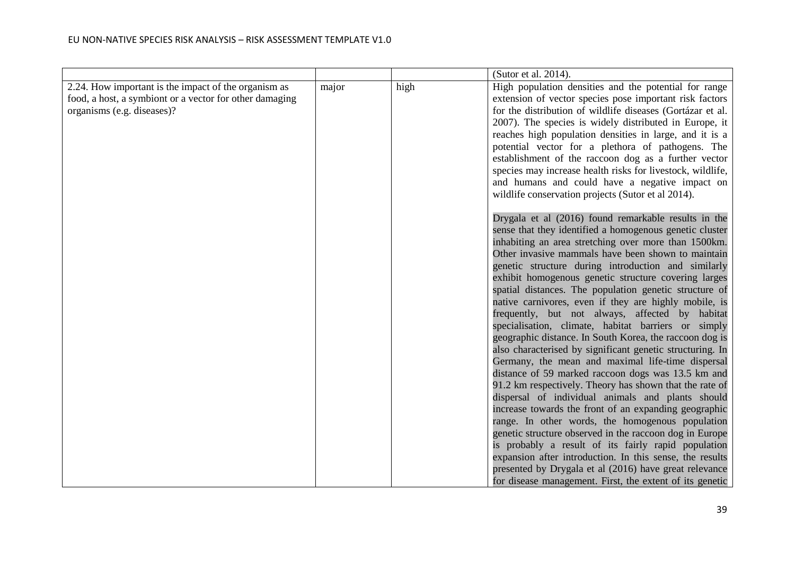|                                                                                                                                               |       |      | (Sutor et al. 2014).                                                                                                                                                                                                                                                                                                                                                                                                                                                                                                                                                                                                                                                                                                                                                                                                                                                                                                                                                                                                                                                                                                                                                                                                                                                                                                                          |
|-----------------------------------------------------------------------------------------------------------------------------------------------|-------|------|-----------------------------------------------------------------------------------------------------------------------------------------------------------------------------------------------------------------------------------------------------------------------------------------------------------------------------------------------------------------------------------------------------------------------------------------------------------------------------------------------------------------------------------------------------------------------------------------------------------------------------------------------------------------------------------------------------------------------------------------------------------------------------------------------------------------------------------------------------------------------------------------------------------------------------------------------------------------------------------------------------------------------------------------------------------------------------------------------------------------------------------------------------------------------------------------------------------------------------------------------------------------------------------------------------------------------------------------------|
| 2.24. How important is the impact of the organism as<br>food, a host, a symbiont or a vector for other damaging<br>organisms (e.g. diseases)? | major | high | High population densities and the potential for range<br>extension of vector species pose important risk factors<br>for the distribution of wildlife diseases (Gortázar et al.<br>2007). The species is widely distributed in Europe, it<br>reaches high population densities in large, and it is a<br>potential vector for a plethora of pathogens. The<br>establishment of the raccoon dog as a further vector<br>species may increase health risks for livestock, wildlife,<br>and humans and could have a negative impact on<br>wildlife conservation projects (Sutor et al 2014).                                                                                                                                                                                                                                                                                                                                                                                                                                                                                                                                                                                                                                                                                                                                                        |
|                                                                                                                                               |       |      | Drygala et al (2016) found remarkable results in the<br>sense that they identified a homogenous genetic cluster<br>inhabiting an area stretching over more than 1500km.<br>Other invasive mammals have been shown to maintain<br>genetic structure during introduction and similarly<br>exhibit homogenous genetic structure covering larges<br>spatial distances. The population genetic structure of<br>native carnivores, even if they are highly mobile, is<br>frequently, but not always, affected by habitat<br>specialisation, climate, habitat barriers or simply<br>geographic distance. In South Korea, the raccoon dog is<br>also characterised by significant genetic structuring. In<br>Germany, the mean and maximal life-time dispersal<br>distance of 59 marked raccoon dogs was 13.5 km and<br>91.2 km respectively. Theory has shown that the rate of<br>dispersal of individual animals and plants should<br>increase towards the front of an expanding geographic<br>range. In other words, the homogenous population<br>genetic structure observed in the raccoon dog in Europe<br>is probably a result of its fairly rapid population<br>expansion after introduction. In this sense, the results<br>presented by Drygala et al (2016) have great relevance<br>for disease management. First, the extent of its genetic |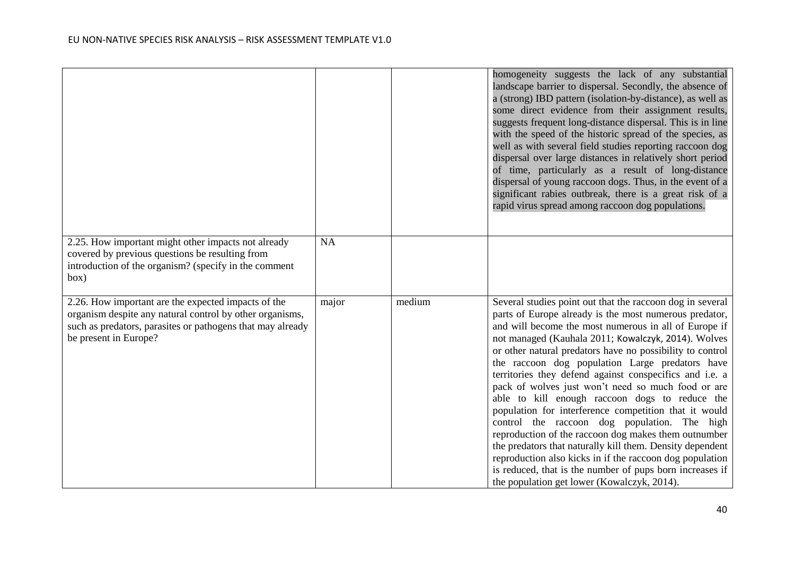|                                                                                                                                                                                                        |           |        | homogeneity suggests the lack of any substantial<br>landscape barrier to dispersal. Secondly, the absence of<br>a (strong) IBD pattern (isolation-by-distance), as well as<br>some direct evidence from their assignment results,<br>suggests frequent long-distance dispersal. This is in line<br>with the speed of the historic spread of the species, as<br>well as with several field studies reporting raccoon dog<br>dispersal over large distances in relatively short period<br>of time, particularly as a result of long-distance<br>dispersal of young raccoon dogs. Thus, in the event of a<br>significant rabies outbreak, there is a great risk of a<br>rapid virus spread among raccoon dog populations.                                                                                                                                                                                                      |
|--------------------------------------------------------------------------------------------------------------------------------------------------------------------------------------------------------|-----------|--------|-----------------------------------------------------------------------------------------------------------------------------------------------------------------------------------------------------------------------------------------------------------------------------------------------------------------------------------------------------------------------------------------------------------------------------------------------------------------------------------------------------------------------------------------------------------------------------------------------------------------------------------------------------------------------------------------------------------------------------------------------------------------------------------------------------------------------------------------------------------------------------------------------------------------------------|
| 2.25. How important might other impacts not already<br>covered by previous questions be resulting from<br>introduction of the organism? (specify in the comment<br>box)                                | <b>NA</b> |        |                                                                                                                                                                                                                                                                                                                                                                                                                                                                                                                                                                                                                                                                                                                                                                                                                                                                                                                             |
| 2.26. How important are the expected impacts of the<br>organism despite any natural control by other organisms,<br>such as predators, parasites or pathogens that may already<br>be present in Europe? | major     | medium | Several studies point out that the raccoon dog in several<br>parts of Europe already is the most numerous predator,<br>and will become the most numerous in all of Europe if<br>not managed (Kauhala 2011; Kowalczyk, 2014). Wolves<br>or other natural predators have no possibility to control<br>the raccoon dog population Large predators have<br>territories they defend against conspecifics and i.e. a<br>pack of wolves just won't need so much food or are<br>able to kill enough raccoon dogs to reduce the<br>population for interference competition that it would<br>control the raccoon dog population. The high<br>reproduction of the raccoon dog makes them outnumber<br>the predators that naturally kill them. Density dependent<br>reproduction also kicks in if the raccoon dog population<br>is reduced, that is the number of pups born increases if<br>the population get lower (Kowalczyk, 2014). |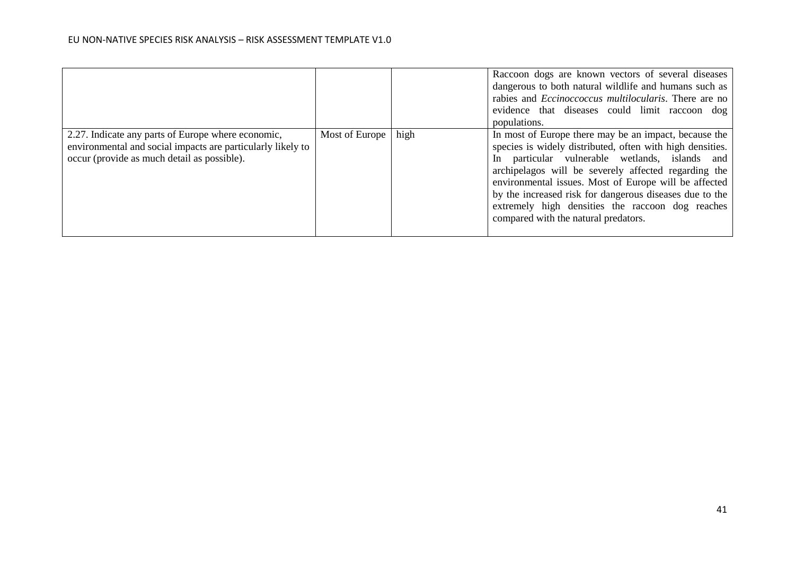|                                                                                                                                                                  |                |      | Raccoon dogs are known vectors of several diseases<br>dangerous to both natural wildlife and humans such as<br>rabies and <i>Eccinoccoccus multilocularis</i> . There are no<br>evidence that diseases could limit raccoon dog<br>populations.                                                                                                                                                                                               |
|------------------------------------------------------------------------------------------------------------------------------------------------------------------|----------------|------|----------------------------------------------------------------------------------------------------------------------------------------------------------------------------------------------------------------------------------------------------------------------------------------------------------------------------------------------------------------------------------------------------------------------------------------------|
| 2.27. Indicate any parts of Europe where economic,<br>environmental and social impacts are particularly likely to<br>occur (provide as much detail as possible). | Most of Europe | high | In most of Europe there may be an impact, because the<br>species is widely distributed, often with high densities.<br>In particular vulnerable wetlands, islands and<br>archipelagos will be severely affected regarding the<br>environmental issues. Most of Europe will be affected<br>by the increased risk for dangerous diseases due to the<br>extremely high densities the raccoon dog reaches<br>compared with the natural predators. |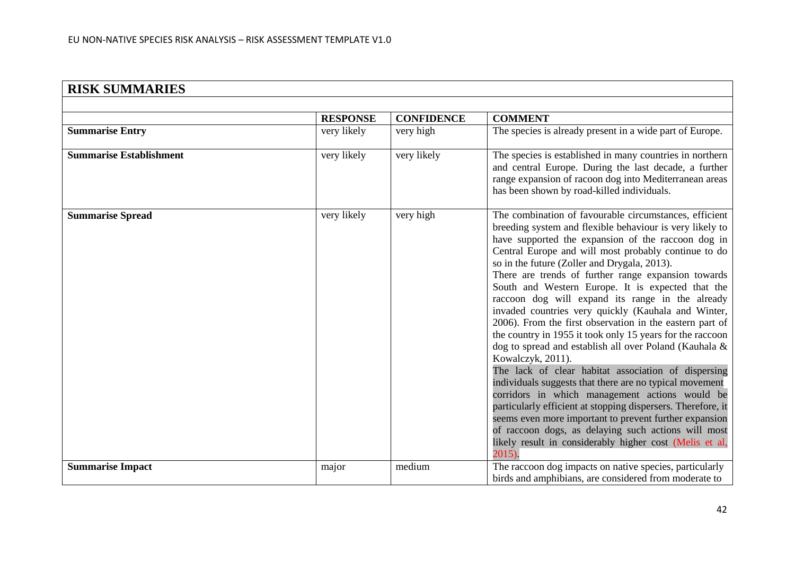| <b>RISK SUMMARIES</b>          |                 |                   |                                                                                                                                                                                                                                                                                                                                                                                                                                                                                                                                                                                                                                                                                                                                                                                                                                                                                                                                                                                                                                                                                                                                              |
|--------------------------------|-----------------|-------------------|----------------------------------------------------------------------------------------------------------------------------------------------------------------------------------------------------------------------------------------------------------------------------------------------------------------------------------------------------------------------------------------------------------------------------------------------------------------------------------------------------------------------------------------------------------------------------------------------------------------------------------------------------------------------------------------------------------------------------------------------------------------------------------------------------------------------------------------------------------------------------------------------------------------------------------------------------------------------------------------------------------------------------------------------------------------------------------------------------------------------------------------------|
|                                |                 |                   |                                                                                                                                                                                                                                                                                                                                                                                                                                                                                                                                                                                                                                                                                                                                                                                                                                                                                                                                                                                                                                                                                                                                              |
|                                | <b>RESPONSE</b> | <b>CONFIDENCE</b> | <b>COMMENT</b>                                                                                                                                                                                                                                                                                                                                                                                                                                                                                                                                                                                                                                                                                                                                                                                                                                                                                                                                                                                                                                                                                                                               |
| <b>Summarise Entry</b>         | very likely     | very high         | The species is already present in a wide part of Europe.                                                                                                                                                                                                                                                                                                                                                                                                                                                                                                                                                                                                                                                                                                                                                                                                                                                                                                                                                                                                                                                                                     |
| <b>Summarise Establishment</b> | very likely     | very likely       | The species is established in many countries in northern<br>and central Europe. During the last decade, a further<br>range expansion of racoon dog into Mediterranean areas<br>has been shown by road-killed individuals.                                                                                                                                                                                                                                                                                                                                                                                                                                                                                                                                                                                                                                                                                                                                                                                                                                                                                                                    |
| <b>Summarise Spread</b>        | very likely     | very high         | The combination of favourable circumstances, efficient<br>breeding system and flexible behaviour is very likely to<br>have supported the expansion of the raccoon dog in<br>Central Europe and will most probably continue to do<br>so in the future (Zoller and Drygala, 2013).<br>There are trends of further range expansion towards<br>South and Western Europe. It is expected that the<br>raccoon dog will expand its range in the already<br>invaded countries very quickly (Kauhala and Winter,<br>2006). From the first observation in the eastern part of<br>the country in 1955 it took only 15 years for the raccoon<br>dog to spread and establish all over Poland (Kauhala &<br>Kowalczyk, 2011).<br>The lack of clear habitat association of dispersing<br>individuals suggests that there are no typical movement<br>corridors in which management actions would be<br>particularly efficient at stopping dispersers. Therefore, it<br>seems even more important to prevent further expansion<br>of raccoon dogs, as delaying such actions will most<br>likely result in considerably higher cost (Melis et al,<br>$2015$ ). |
| <b>Summarise Impact</b>        | major           | medium            | The raccoon dog impacts on native species, particularly<br>birds and amphibians, are considered from moderate to                                                                                                                                                                                                                                                                                                                                                                                                                                                                                                                                                                                                                                                                                                                                                                                                                                                                                                                                                                                                                             |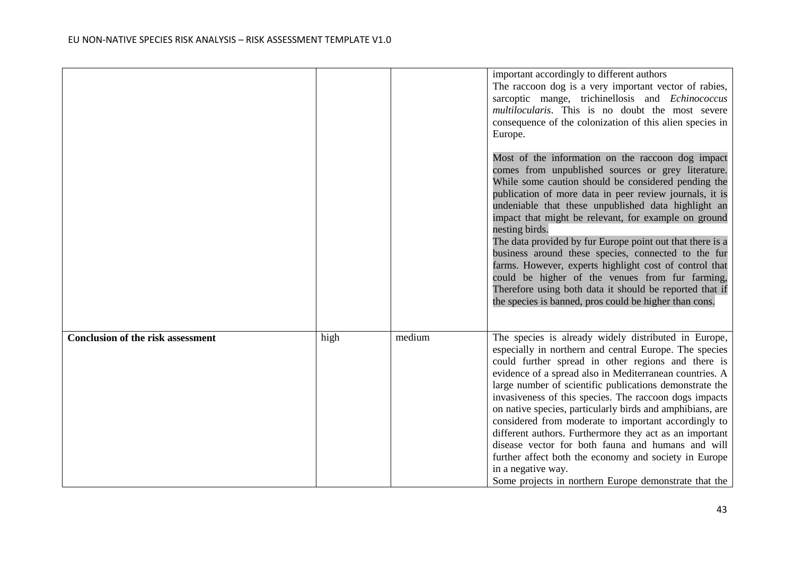|                                          |      |        | important accordingly to different authors<br>The raccoon dog is a very important vector of rabies,<br>sarcoptic mange, trichinellosis and Echinococcus<br>multilocularis. This is no doubt the most severe<br>consequence of the colonization of this alien species in<br>Europe.<br>Most of the information on the raccoon dog impact<br>comes from unpublished sources or grey literature.<br>While some caution should be considered pending the<br>publication of more data in peer review journals, it is<br>undeniable that these unpublished data highlight an<br>impact that might be relevant, for example on ground<br>nesting birds.<br>The data provided by fur Europe point out that there is a<br>business around these species, connected to the fur<br>farms. However, experts highlight cost of control that<br>could be higher of the venues from fur farming,<br>Therefore using both data it should be reported that if<br>the species is banned, pros could be higher than cons. |
|------------------------------------------|------|--------|--------------------------------------------------------------------------------------------------------------------------------------------------------------------------------------------------------------------------------------------------------------------------------------------------------------------------------------------------------------------------------------------------------------------------------------------------------------------------------------------------------------------------------------------------------------------------------------------------------------------------------------------------------------------------------------------------------------------------------------------------------------------------------------------------------------------------------------------------------------------------------------------------------------------------------------------------------------------------------------------------------|
| <b>Conclusion of the risk assessment</b> | high | medium | The species is already widely distributed in Europe,<br>especially in northern and central Europe. The species<br>could further spread in other regions and there is<br>evidence of a spread also in Mediterranean countries. A<br>large number of scientific publications demonstrate the<br>invasiveness of this species. The raccoon dogs impacts<br>on native species, particularly birds and amphibians, are<br>considered from moderate to important accordingly to<br>different authors. Furthermore they act as an important<br>disease vector for both fauna and humans and will<br>further affect both the economy and society in Europe<br>in a negative way.<br>Some projects in northern Europe demonstrate that the                                                                                                                                                                                                                                                                      |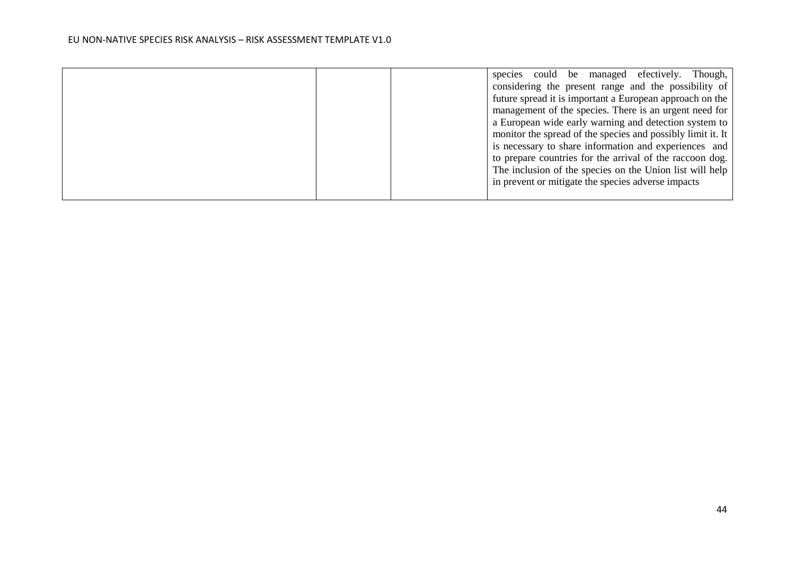|  | Though,<br>species could be managed efectively.<br>considering the present range and the possibility of |
|--|---------------------------------------------------------------------------------------------------------|
|  | future spread it is important a European approach on the                                                |
|  | management of the species. There is an urgent need for                                                  |
|  | a European wide early warning and detection system to                                                   |
|  | monitor the spread of the species and possibly limit it. It                                             |
|  | is necessary to share information and experiences and                                                   |
|  | to prepare countries for the arrival of the raccoon dog.                                                |
|  | The inclusion of the species on the Union list will help                                                |
|  | in prevent or mitigate the species adverse impacts                                                      |
|  |                                                                                                         |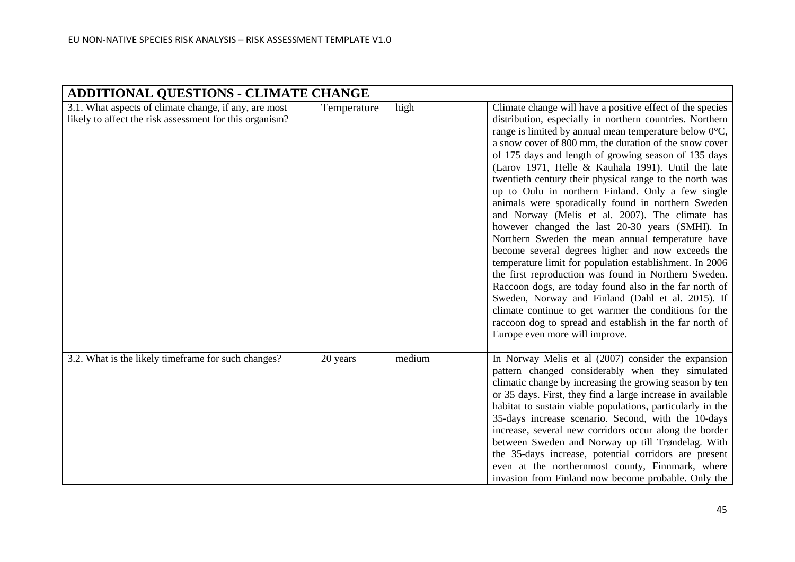| <b>ADDITIONAL QUESTIONS - CLIMATE CHANGE</b>                                                                     |             |        |                                                                                                                                                                                                                                                                                                                                                                                                                                                                                                                                                                                                                                                                                                                                                                                                                                                                                                                                                                                                                                                                                                                                                |  |  |
|------------------------------------------------------------------------------------------------------------------|-------------|--------|------------------------------------------------------------------------------------------------------------------------------------------------------------------------------------------------------------------------------------------------------------------------------------------------------------------------------------------------------------------------------------------------------------------------------------------------------------------------------------------------------------------------------------------------------------------------------------------------------------------------------------------------------------------------------------------------------------------------------------------------------------------------------------------------------------------------------------------------------------------------------------------------------------------------------------------------------------------------------------------------------------------------------------------------------------------------------------------------------------------------------------------------|--|--|
| 3.1. What aspects of climate change, if any, are most<br>likely to affect the risk assessment for this organism? | Temperature | high   | Climate change will have a positive effect of the species<br>distribution, especially in northern countries. Northern<br>range is limited by annual mean temperature below $0^{\circ}C$ ,<br>a snow cover of 800 mm, the duration of the snow cover<br>of 175 days and length of growing season of 135 days<br>(Larov 1971, Helle & Kauhala 1991). Until the late<br>twentieth century their physical range to the north was<br>up to Oulu in northern Finland. Only a few single<br>animals were sporadically found in northern Sweden<br>and Norway (Melis et al. 2007). The climate has<br>however changed the last 20-30 years (SMHI). In<br>Northern Sweden the mean annual temperature have<br>become several degrees higher and now exceeds the<br>temperature limit for population establishment. In 2006<br>the first reproduction was found in Northern Sweden.<br>Raccoon dogs, are today found also in the far north of<br>Sweden, Norway and Finland (Dahl et al. 2015). If<br>climate continue to get warmer the conditions for the<br>raccoon dog to spread and establish in the far north of<br>Europe even more will improve. |  |  |
| 3.2. What is the likely timeframe for such changes?                                                              | 20 years    | medium | In Norway Melis et al (2007) consider the expansion<br>pattern changed considerably when they simulated<br>climatic change by increasing the growing season by ten<br>or 35 days. First, they find a large increase in available<br>habitat to sustain viable populations, particularly in the<br>35-days increase scenario. Second, with the 10-days<br>increase, several new corridors occur along the border<br>between Sweden and Norway up till Trøndelag. With<br>the 35-days increase, potential corridors are present<br>even at the northernmost county, Finnmark, where<br>invasion from Finland now become probable. Only the                                                                                                                                                                                                                                                                                                                                                                                                                                                                                                       |  |  |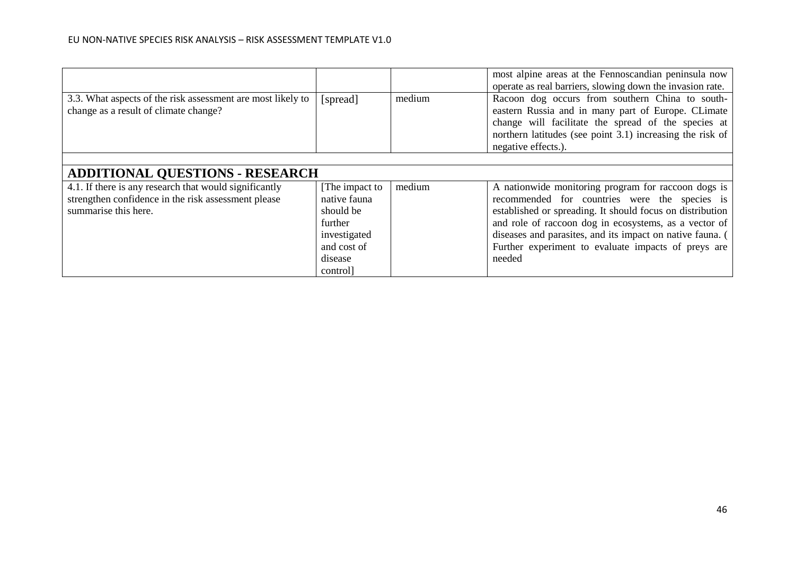|                                                                                                                                                                                 |                                                                                                              |        | most alpine areas at the Fennoscandian peninsula now<br>operate as real barriers, slowing down the invasion rate.                                                                                                                                                                                                                                        |  |  |
|---------------------------------------------------------------------------------------------------------------------------------------------------------------------------------|--------------------------------------------------------------------------------------------------------------|--------|----------------------------------------------------------------------------------------------------------------------------------------------------------------------------------------------------------------------------------------------------------------------------------------------------------------------------------------------------------|--|--|
| 3.3. What aspects of the risk assessment are most likely to<br>change as a result of climate change?                                                                            | [spread]                                                                                                     | medium | Racoon dog occurs from southern China to south-<br>eastern Russia and in many part of Europe. CLimate<br>change will facilitate the spread of the species at<br>northern latitudes (see point 3.1) increasing the risk of<br>negative effects.).                                                                                                         |  |  |
|                                                                                                                                                                                 |                                                                                                              |        |                                                                                                                                                                                                                                                                                                                                                          |  |  |
| <b>ADDITIONAL QUESTIONS - RESEARCH</b><br>4.1. If there is any research that would significantly<br>strengthen confidence in the risk assessment please<br>summarise this here. | [The impact to<br>native fauna<br>should be<br>further<br>investigated<br>and cost of<br>disease<br>control] | medium | A nationwide monitoring program for raccoon dogs is<br>recommended for countries were the species is<br>established or spreading. It should focus on distribution<br>and role of raccoon dog in ecosystems, as a vector of<br>diseases and parasites, and its impact on native fauna. (<br>Further experiment to evaluate impacts of preys are<br>needed |  |  |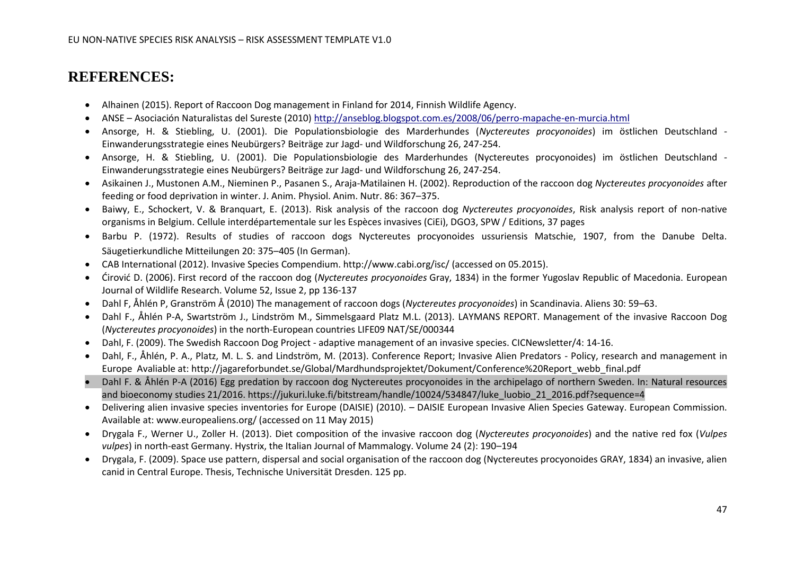## **REFERENCES:**

- Alhainen (2015). Report of Raccoon Dog management in Finland for 2014, Finnish Wildlife Agency.
- ANSE Asociación Naturalistas del Sureste (2010)<http://anseblog.blogspot.com.es/2008/06/perro-mapache-en-murcia.html>
- Ansorge, H. & Stiebling, U. (2001). Die Populationsbiologie des Marderhundes (*Nyctereutes procyonoides*) im östlichen Deutschland Einwanderungsstrategie eines Neubürgers? Beiträge zur Jagd- und Wildforschung 26, 247-254.
- Ansorge, H. & Stiebling, U. (2001). Die Populationsbiologie des Marderhundes (Nyctereutes procyonoides) im östlichen Deutschland Einwanderungsstrategie eines Neubürgers? Beiträge zur Jagd- und Wildforschung 26, 247-254.
- Asikainen J., Mustonen A.M., Nieminen P., Pasanen S., Araja-Matilainen H. (2002). Reproduction of the raccoon dog *Nyctereutes procyonoides* after feeding or food deprivation in winter. J. Anim. Physiol. Anim. Nutr. 86: 367–375.
- Baiwy, E., Schockert, V. & Branquart, E. (2013). Risk analysis of the raccoon dog *Nyctereutes procyonoides*, Risk analysis report of non-native organisms in Belgium. Cellule interdépartementale sur les Espèces invasives (CiEi), DGO3, SPW / Editions, 37 pages
- Barbu P. (1972). Results of studies of raccoon dogs Nyctereutes procyonoides ussuriensis Matschie, 1907, from the Danube Delta. Säugetierkundliche Mitteilungen 20: 375–405 (In German).
- CAB International (2012). Invasive Species Compendium. http://www.cabi.org/isc/ (accessed on 05.2015).
- [Ćirović](http://link.springer.com/search?facet-creator=%22Du%C5%A1ko+%C4%86irovi%C4%87%22) D. (2006). First record of the raccoon dog (*Nyctereutes procyonoides* Gray, 1834) in the former Yugoslav Republic of Macedonia. [European](http://link.springer.com/journal/10344)  [Journal of Wildlife Research.](http://link.springer.com/journal/10344) Volume 52, [Issue 2,](http://link.springer.com/journal/10344/52/2/page/1) pp 136-137
- Dahl F, Åhlén P, Granström Å (2010) The management of raccoon dogs (*Nyctereutes procyonoides*) in Scandinavia. Aliens 30: 59–63.
- Dahl F., Åhlén P-A, Swartström J., Lindström M., Simmelsgaard Platz M.L. (2013). LAYMANS REPORT. Management of the invasive Raccoon Dog (*Nyctereutes procyonoides*) in the north-European countries LIFE09 NAT/SE/000344
- Dahl, F. (2009). The Swedish Raccoon Dog Project adaptive management of an invasive species. CICNewsletter/4: 14-16.
- Dahl, F., Åhlén, P. A., Platz, M. L. S. and Lindström, M. (2013). Conference Report; Invasive Alien Predators Policy, research and management in Europe Avaliable at: http://jagareforbundet.se/Global/Mardhundsprojektet/Dokument/Conference%20Report\_webb\_final.pdf
- Dahl F. & Åhlén P-A (2016) Egg predation by raccoon dog Nyctereutes procyonoides in the archipelago of northern Sweden. In: Natural resources and bioeconomy studies 21/2016. https://jukuri.luke.fi/bitstream/handle/10024/534847/luke\_luobio\_21\_2016.pdf?sequence=4
- Delivering alien invasive species inventories for Europe (DAISIE) (2010). DAISIE European Invasive Alien Species Gateway. European Commission. Available at: www.europealiens.org/ (accessed on 11 May 2015)
- Drygala F., Werner U., Zoller H. (2013). Diet composition of the invasive raccoon dog (*Nyctereutes procyonoides*) and the native red fox (*Vulpes vulpes*) in north-east Germany. Hystrix, the Italian Journal of Mammalogy. Volume 24 (2): 190–194
- Drygala, F. (2009). Space use pattern, dispersal and social organisation of the raccoon dog (Nyctereutes procyonoides GRAY, 1834) an invasive, alien canid in Central Europe. Thesis, Technische Universität Dresden. 125 pp.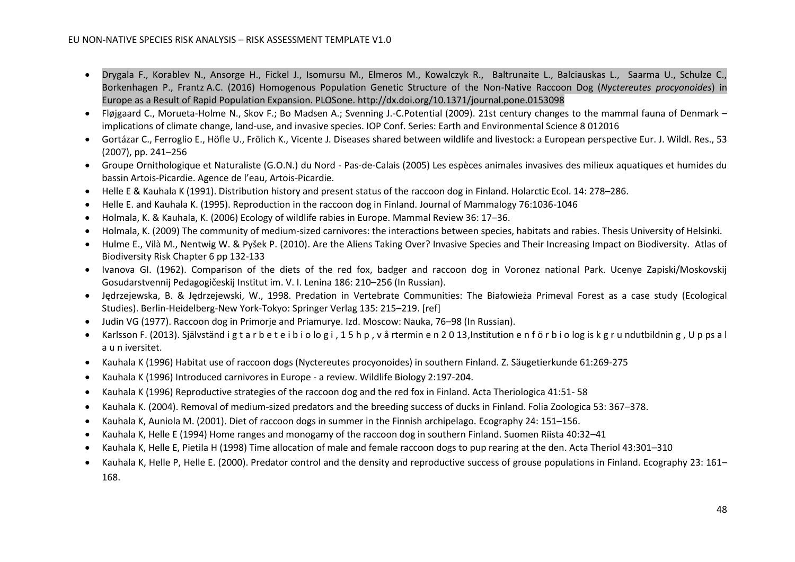- Drygala F., Korablev N., Ansorge H., Fickel J., Isomursu M., Elmeros M., Kowalczyk R., Baltrunaite L., Balciauskas L., Saarma U., Schulze C., Borkenhagen P., Frantz A.C. (2016) Homogenous Population Genetic Structure of the Non-Native Raccoon Dog (*Nyctereutes procyonoides*) in Europe as a Result of Rapid Population Expansion. PLOSone. http://dx.doi.org/10.1371/journal.pone.0153098
- Fløjgaard C., Morueta-Holme N., Skov F.; Bo Madsen A.; Svenning J.-C.Potential (2009). 21st century changes to the mammal fauna of Denmark implications of climate change, land-use, and invasive species. IOP Conf. Series: Earth and Environmental Science 8 012016
- Gortázar C., Ferroglio E., Höfle U., Frölich K., Vicente J. Diseases shared between wildlife and livestock: a European perspective Eur. J. Wildl. Res., 53 (2007), pp. 241–256
- Groupe Ornithologique et Naturaliste (G.O.N.) du Nord Pas-de-Calais (2005) Les espèces animales invasives des milieux aquatiques et humides du bassin Artois-Picardie. Agence de l'eau, Artois-Picardie.
- Helle E & Kauhala K (1991). Distribution history and present status of the raccoon dog in Finland. Holarctic Ecol. 14: 278–286.
- Helle E. and Kauhala K. (1995). Reproduction in the raccoon dog in Finland. Journal of Mammalogy 76:1036-1046
- Holmala, K. & Kauhala, K. (2006) Ecology of wildlife rabies in Europe. Mammal Review 36: 17–36.
- Holmala, K. (2009) The community of medium-sized carnivores: the interactions between species, habitats and rabies. Thesis University of Helsinki.
- Hulme E., Vilà M., Nentwig W. & Pyšek P. (2010). Are the Aliens Taking Over? Invasive Species and Their Increasing Impact on Biodiversity. Atlas of Biodiversity Risk Chapter 6 pp 132-133
- Ivanova GI. (1962). Comparison of the diets of the red fox, badger and raccoon dog in Voronez national Park. Ucenye Zapiski/Moskovskij Gosudarstvennij Pedagogičeskij Institut im. V. I. Lenina 186: 210–256 (In Russian).
- Jędrzejewska, B. & Jędrzejewski, W., 1998. Predation in Vertebrate Communities: The Białowieża Primeval Forest as a case study (Ecological Studies). Berlin-Heidelberg-New York-Tokyo: Springer Verlag 135: 215–219. [ref]
- Judin VG (1977). Raccoon dog in Primorje and Priamurye. Izd. Moscow: Nauka, 76–98 (In Russian).
- Karlsson F. (2013). Självständ i g t a r b e t e i b i o lo g i , 1 5 h p , v å rtermin e n 2 0 13,Institution e n f ö r b i o log is k g r u ndutbildnin g , U p ps a l a u n iversitet.
- Kauhala K (1996) Habitat use of raccoon dogs (Nyctereutes procyonoides) in southern Finland. Z. Säugetierkunde 61:269-275
- Kauhala K (1996) Introduced carnivores in Europe a review. Wildlife Biology 2:197-204.
- Kauhala K (1996) Reproductive strategies of the raccoon dog and the red fox in Finland. Acta Theriologica 41:51- 58
- Kauhala K. (2004). Removal of medium-sized predators and the breeding success of ducks in Finland. Folia Zoologica 53: 367–378.
- Kauhala K, Auniola M. (2001). Diet of raccoon dogs in summer in the Finnish archipelago. Ecography 24: 151–156.
- Kauhala K, Helle E (1994) Home ranges and monogamy of the raccoon dog in southern Finland. Suomen Riista 40:32–41
- Kauhala K, Helle E, Pietila H (1998) Time allocation of male and female raccoon dogs to pup rearing at the den. Acta Theriol 43:301–310
- Kauhala K, Helle P, Helle E. (2000). Predator control and the density and reproductive success of grouse populations in Finland. Ecography 23: 161– 168.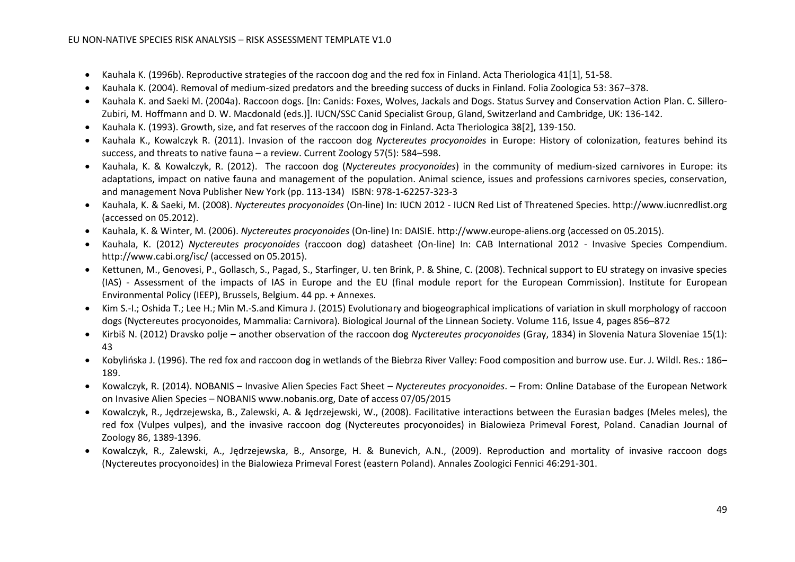- Kauhala K. (1996b). Reproductive strategies of the raccoon dog and the red fox in Finland. Acta Theriologica 41[1], 51-58.
- Kauhala K. (2004). Removal of medium-sized predators and the breeding success of ducks in Finland. Folia Zoologica 53: 367–378.
- Kauhala K. and Saeki M. (2004a). Raccoon dogs. [In: Canids: Foxes, Wolves, Jackals and Dogs. Status Survey and Conservation Action Plan. C. Sillero-Zubiri, M. Hoffmann and D. W. Macdonald (eds.)]. IUCN/SSC Canid Specialist Group, Gland, Switzerland and Cambridge, UK: 136-142.
- Kauhala K. (1993). Growth, size, and fat reserves of the raccoon dog in Finland. Acta Theriologica 38[2], 139-150.
- Kauhala K., Kowalczyk R. (2011). Invasion of the raccoon dog *Nyctereutes procyonoides* in Europe: History of colonization, features behind its success, and threats to native fauna – a review. Current Zoology 57(5): 584–598.
- Kauhala, K. & Kowalczyk, R. (2012). The raccoon dog (*Nyctereutes procyonoides*) in the community of medium-sized carnivores in Europe: its adaptations, impact on native fauna and management of the population. Animal science, issues and professions carnivores species, conservation, and management Nova Publisher New York (pp. 113-134) ISBN: 978-1-62257-323-3
- Kauhala, K. & Saeki, M. (2008). *Nyctereutes procyonoides* (On-line) In: IUCN 2012 IUCN Red List of Threatened Species. http://www.iucnredlist.org (accessed on 05.2012).
- Kauhala, K. & Winter, M. (2006). *Nyctereutes procyonoides* (On-line) In: DAISIE. [http://www.europe-aliens.org](http://www.europe-aliens.org/) (accessed on 05.2015).
- Kauhala, K. (2012) *Nyctereutes procyonoides* (raccoon dog) datasheet (On-line) In: CAB International 2012 Invasive Species Compendium. http://www.cabi.org/isc/ (accessed on 05.2015).
- Kettunen, M., Genovesi, P., Gollasch, S., Pagad, S., Starfinger, U. ten Brink, P. & Shine, C. (2008). Technical support to EU strategy on invasive species (IAS) - Assessment of the impacts of IAS in Europe and the EU (final module report for the European Commission). Institute for European Environmental Policy (IEEP), Brussels, Belgium. 44 pp. + Annexes.
- Kim S.-I.; Oshida T.; Lee H.; Min M.-S.and Kimura J. (2015) Evolutionary and biogeographical implications of variation in skull morphology of raccoon dogs (Nyctereutes procyonoides, Mammalia: Carnivora). Biological Journal of the Linnean Society. [Volume 116,](http://onlinelibrary.wiley.com/doi/10.1111/bij.2015.116.issue-4/issuetoc) Issue 4, pages 856–872
- Kirbiš N. (2012) Dravsko polje another observation of the raccoon dog *Nyctereutes procyonoides* (Gray, 1834) in Slovenia Natura Sloveniae 15(1): 43
- Kobylińska J. (1996). The red fox and raccoon dog in wetlands of the Biebrza River Valley: Food composition and burrow use. Eur. J. Wildl. Res.: 186– 189.
- Kowalczyk, R. (2014). NOBANIS Invasive Alien Species Fact Sheet *Nyctereutes procyonoides*. From: Online Database of the European Network on Invasive Alien Species – NOBANIS www.nobanis.org, Date of access 07/05/2015
- Kowalczyk, R., Jędrzejewska, B., Zalewski, A. & Jędrzejewski, W., (2008). Facilitative interactions between the Eurasian badges (Meles meles), the red fox (Vulpes vulpes), and the invasive raccoon dog (Nyctereutes procyonoides) in Bialowieza Primeval Forest, Poland. Canadian Journal of Zoology 86, 1389-1396.
- Kowalczyk, R., Zalewski, A., Jędrzejewska, B., Ansorge, H. & Bunevich, A.N., (2009). Reproduction and mortality of invasive raccoon dogs (Nyctereutes procyonoides) in the Bialowieza Primeval Forest (eastern Poland). Annales Zoologici Fennici 46:291-301.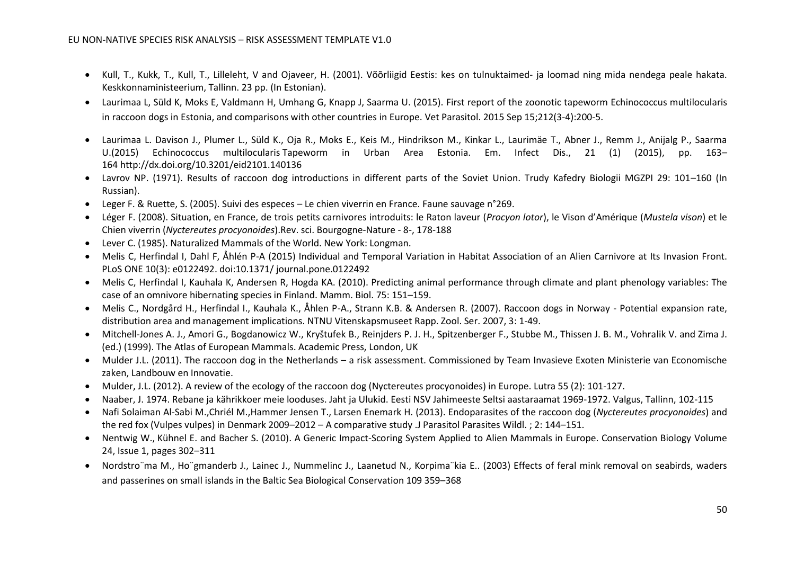- Kull, T., Kukk, T., Kull, T., Lilleleht, V and Ojaveer, H. (2001). Võõrliigid Eestis: kes on tulnuktaimed- ja loomad ning mida nendega peale hakata. Keskkonnaministeerium, Tallinn. 23 pp. (In Estonian).
- Laurimaa L, Süld K, Moks E, Valdmann H, Umhang G, Knapp J, Saarma U. (2015). First report of the zoonotic tapeworm Echinococcus multilocularis in raccoon dogs in Estonia, and comparisons with other countries in Europe. Vet Parasitol. 2015 Sep 15;212(3-4):200-5.
- [Laurimaa L](http://www.sciencedirect.com/science/article/pii/S0304401715003672#bib0340). Davison J., Plumer L., Süld K., Oja R., Moks E., Keis M., Hindrikson M., Kinkar L., Laurimäe T., Abner J., Remm J., Anijalg P., Saarma U.(2015) Echinococcus multilocularis Tapeworm in Urban Area Estonia. Em. Infect Dis., 21 (1) (2015), pp. 163– 164 <http://dx.doi.org/10.3201/eid2101.140136>
- Lavrov NP. (1971). Results of raccoon dog introductions in different parts of the Soviet Union. Trudy Kafedry Biologii MGZPI 29: 101–160 (In Russian).
- Leger F. & Ruette, S. (2005). Suivi des especes Le chien viverrin en France. Faune sauvage n°269.
- Léger F. (2008). Situation, en France, de trois petits carnivores introduits: le Raton laveur (*Procyon lotor*), le Vison d'Amérique (*Mustela vison*) et le Chien viverrin (*Nyctereutes procyonoides*).Rev. sci. Bourgogne-Nature - 8-, 178-188
- Lever C. (1985). Naturalized Mammals of the World. New York: Longman.
- Melis C, Herfindal I, Dahl F, Åhlén P-A (2015) Individual and Temporal Variation in Habitat Association of an Alien Carnivore at Its Invasion Front. PLoS ONE 10(3): e0122492. doi:10.1371/ journal.pone.0122492
- Melis C, Herfindal I, Kauhala K, Andersen R, Hogda KA. (2010). Predicting animal performance through climate and plant phenology variables: The case of an omnivore hibernating species in Finland. Mamm. Biol. 75: 151–159.
- Melis C., Nordgård H., Herfindal I., Kauhala K., Åhlen P-A., Strann K.B. & Andersen R. (2007). Raccoon dogs in Norway Potential expansion rate, distribution area and management implications. NTNU Vitenskapsmuseet Rapp. Zool. Ser. 2007, 3: 1-49.
- Mitchell-Jones A. J., Amori G., Bogdanowicz W., Kryštufek B., Reinjders P. J. H., Spitzenberger F., Stubbe M., Thissen J. B. M., Vohralik V. and Zima J. (ed.) (1999). The Atlas of European Mammals. Academic Press, London, UK
- Mulder J.L. (2011). The raccoon dog in the Netherlands a risk assessment. Commissioned by Team Invasieve Exoten Ministerie van Economische zaken, Landbouw en Innovatie.
- Mulder, J.L. (2012). A review of the ecology of the raccoon dog (Nyctereutes procyonoides) in Europe. Lutra 55 (2): 101-127.
- Naaber, J. 1974. Rebane ja kährikkoer meie looduses. Jaht ja Ulukid. Eesti NSV Jahimeeste Seltsi aastaraamat 1969-1972. Valgus, Tallinn, 102-115
- [Nafi Solaiman Al-Sabi](http://www.ncbi.nlm.nih.gov/pubmed/?term=Al-Sabi%20MN%5Bauth%5D) M.[,Chriél](http://www.ncbi.nlm.nih.gov/pubmed/?term=Chri%26%23x000e9%3Bl%20M%5Bauth%5D) M.[,Hammer Jensen](http://www.ncbi.nlm.nih.gov/pubmed/?term=Jensen%20TH%5Bauth%5D) T., [Larsen Enemark](http://www.ncbi.nlm.nih.gov/pubmed/?term=Enemark%20HL%5Bauth%5D) H. (2013). Endoparasites of the raccoon dog (*Nyctereutes procyonoides*) and the red fox (Vulpes vulpes) in Denmark 2009–2012 – A comparative study .J Parasitol Parasites Wildl. ; 2: 144–151.
- Nentwig W., Kühnel E. and Bacher S. (2010). A Generic Impact-Scoring System Applied to Alien Mammals in Europe. Conservation Biology [Volume](http://onlinelibrary.wiley.com/doi/10.1111/cbi.2010.24.issue-1/issuetoc)  24, [Issue 1,](http://onlinelibrary.wiley.com/doi/10.1111/cbi.2010.24.issue-1/issuetoc) pages 302–311
- Nordstro¨ma M., Ho¨gmanderb J., Lainec J., Nummelinc J., Laanetud N., Korpima¨kia E.. (2003) Effects of feral mink removal on seabirds, waders and passerines on small islands in the Baltic Sea Biological Conservation 109 359–368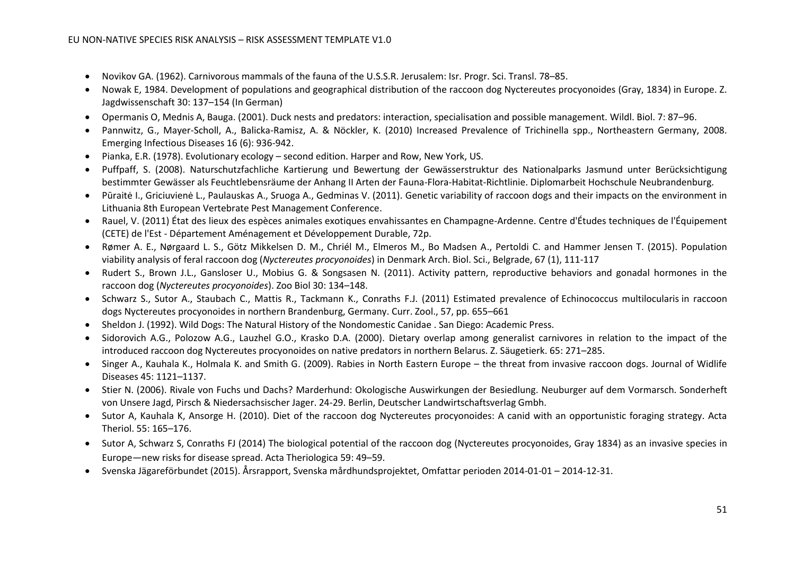- Novikov GA. (1962). Carnivorous mammals of the fauna of the U.S.S.R. Jerusalem: Isr. Progr. Sci. Transl. 78–85.
- Nowak E, 1984. Development of populations and geographical distribution of the raccoon dog Nyctereutes procyonoides (Gray, 1834) in Europe. Z. Jagdwissenschaft 30: 137–154 (In German)
- Opermanis O, Mednis A, Bauga. (2001). Duck nests and predators: interaction, specialisation and possible management. Wildl. Biol. 7: 87–96.
- Pannwitz, G., Mayer-Scholl, A., Balicka-Ramisz, A. & Nöckler, K. (2010) Increased Prevalence of Trichinella spp., Northeastern Germany, 2008. Emerging Infectious Diseases 16 (6): 936-942.
- Pianka, E.R. (1978). Evolutionary ecology second edition. Harper and Row, New York, US.
- Puffpaff, S. (2008). Naturschutzfachliche Kartierung und Bewertung der Gewässerstruktur des Nationalparks Jasmund unter Berücksichtigung bestimmter Gewässer als Feuchtlebensräume der Anhang II Arten der Fauna-Flora-Habitat-Richtlinie. Diplomarbeit Hochschule Neubrandenburg.
- Pūraitė I., Griciuvienė L., Paulauskas A., Sruoga A., Gedminas V. (2011). Genetic variability of raccoon dogs and their impacts on the environment in Lithuania 8th European Vertebrate Pest Management Conference.
- Rauel, V. (2011) État des lieux des espèces animales exotiques envahissantes en Champagne-Ardenne. Centre d'Études techniques de l'Équipement (CETE) de l'Est - Département Aménagement et Développement Durable, 72p.
- Rømer A. E., Nørgaard L. S., Götz Mikkelsen D. M., Chriél M., Elmeros M., Bo Madsen A., Pertoldi C. and Hammer Jensen T. (2015). Population viability analysis of feral raccoon dog (*Nyctereutes procyonoides*) in Denmark Arch. Biol. Sci., Belgrade, 67 (1), 111-117
- Rudert S., Brown J.L., Gansloser U., Mobius G. & Songsasen N. (2011). Activity pattern, reproductive behaviors and gonadal hormones in the raccoon dog (*Nyctereutes procyonoides*). Zoo Biol 30: 134–148.
- Schwarz S., Sutor A., Staubach C., Mattis R., Tackmann K., Conraths F.J. (2011) Estimated prevalence of Echinococcus multilocularis in raccoon dogs Nyctereutes procyonoides in northern Brandenburg, Germany. Curr. Zool., 57, pp. 655–661
- Sheldon J. (1992). Wild Dogs: The Natural History of the Nondomestic Canidae . San Diego: Academic Press.
- Sidorovich A.G., Polozow A.G., Lauzhel G.O., Krasko D.A. (2000). Dietary overlap among generalist carnivores in relation to the impact of the introduced raccoon dog Nyctereutes procyonoides on native predators in northern Belarus. Z. Säugetierk. 65: 271–285.
- Singer A., Kauhala K., Holmala K. and Smith G. (2009). Rabies in North Eastern Europe the threat from invasive raccoon dogs. Journal of Widlife Diseases 45: 1121–1137.
- Stier N. (2006). Rivale von Fuchs und Dachs? Marderhund: Okologische Auswirkungen der Besiedlung. Neuburger auf dem Vormarsch. Sonderheft von Unsere Jagd, Pirsch & Niedersachsischer Jager. 24-29. Berlin, Deutscher Landwirtschaftsverlag Gmbh.
- Sutor A, Kauhala K, Ansorge H. (2010). Diet of the raccoon dog Nyctereutes procyonoides: A canid with an opportunistic foraging strategy. Acta Theriol. 55: 165–176.
- Sutor A, Schwarz S, Conraths FJ (2014) The biological potential of the raccoon dog (Nyctereutes procyonoides, Gray 1834) as an invasive species in Europe—new risks for disease spread. Acta Theriologica 59: 49–59.
- Svenska Jägareförbundet (2015). Årsrapport, Svenska mårdhundsprojektet, Omfattar perioden 2014-01-01 2014-12-31.